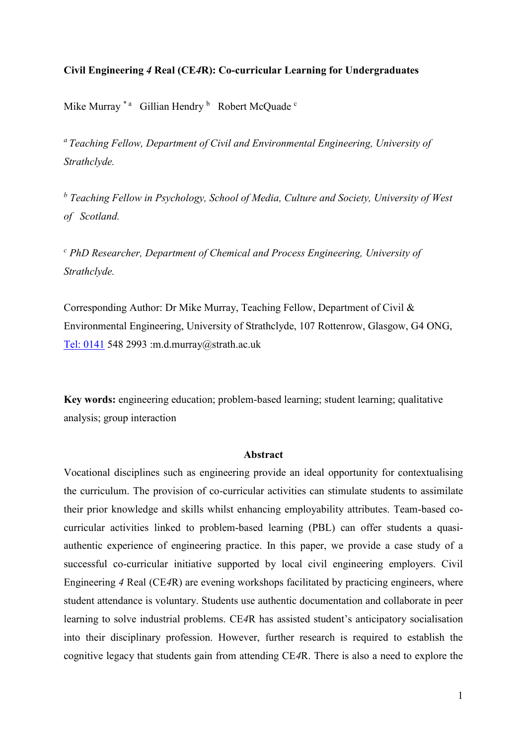# **Civil Engineering** *4* **Real (CE***4***R): Co-curricular Learning for Undergraduates**

Mike Murray<sup>\*</sup><sup>a</sup> Gillian Hendry<sup>b</sup> Robert McQuade<sup>c</sup>

*<sup>a</sup>Teaching Fellow, Department of Civil and Environmental Engineering, University of Strathclyde.* 

*<sup>b</sup> Teaching Fellow in Psychology, School of Media, Culture and Society, University of West of Scotland.*

*<sup>c</sup> PhD Researcher, Department of Chemical and Process Engineering, University of Strathclyde.*

Corresponding Author: Dr Mike Murray, Teaching Fellow, Department of Civil & Environmental Engineering, University of Strathclyde, 107 Rottenrow, Glasgow, G4 ONG, [Tel: 0141](tel:0141) 548 2993 :m.d.murray@strath.ac.uk

**Key words:** engineering education; problem-based learning; student learning; qualitative analysis; group interaction

## **Abstract**

Vocational disciplines such as engineering provide an ideal opportunity for contextualising the curriculum. The provision of co-curricular activities can stimulate students to assimilate their prior knowledge and skills whilst enhancing employability attributes. Team-based cocurricular activities linked to problem-based learning (PBL) can offer students a quasiauthentic experience of engineering practice. In this paper, we provide a case study of a successful co-curricular initiative supported by local civil engineering employers. Civil Engineering *4* Real (CE*4*R) are evening workshops facilitated by practicing engineers, where student attendance is voluntary. Students use authentic documentation and collaborate in peer learning to solve industrial problems. CE*4*R has assisted student's anticipatory socialisation into their disciplinary profession. However, further research is required to establish the cognitive legacy that students gain from attending CE*4*R. There is also a need to explore the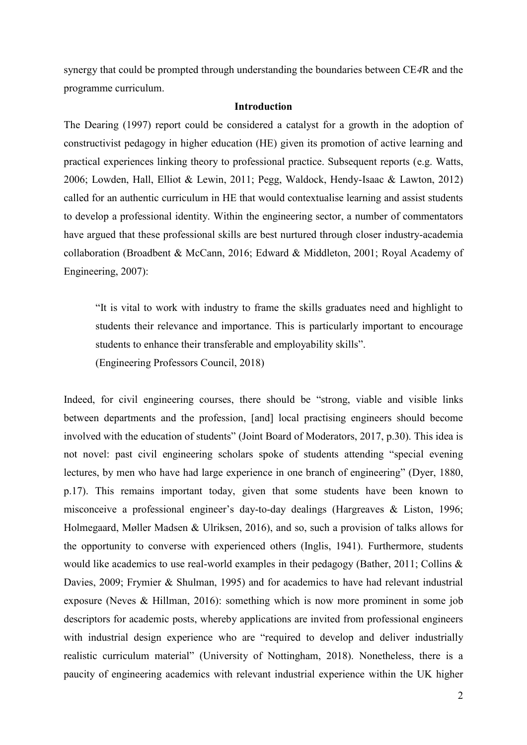synergy that could be prompted through understanding the boundaries between CE*4*R and the programme curriculum.

## **Introduction**

The Dearing (1997) report could be considered a catalyst for a growth in the adoption of constructivist pedagogy in higher education (HE) given its promotion of active learning and practical experiences linking theory to professional practice. Subsequent reports (e.g. Watts, 2006; Lowden, Hall, Elliot & Lewin, 2011; Pegg, Waldock, Hendy-Isaac & Lawton, 2012) called for an authentic curriculum in HE that would contextualise learning and assist students to develop a professional identity. Within the engineering sector, a number of commentators have argued that these professional skills are best nurtured through closer industry-academia collaboration (Broadbent & McCann, 2016; Edward & Middleton, 2001; Royal Academy of Engineering, 2007):

"It is vital to work with industry to frame the skills graduates need and highlight to students their relevance and importance. This is particularly important to encourage students to enhance their transferable and employability skills".

(Engineering Professors Council, 2018)

Indeed, for civil engineering courses, there should be "strong, viable and visible links between departments and the profession, [and] local practising engineers should become involved with the education of students" (Joint Board of Moderators, 2017, p.30). This idea is not novel: past civil engineering scholars spoke of students attending "special evening lectures, by men who have had large experience in one branch of engineering" (Dyer, 1880, p.17). This remains important today, given that some students have been known to misconceive a professional engineer's day-to-day dealings (Hargreaves & Liston, 1996; Holmegaard, Møller Madsen & Ulriksen, 2016), and so, such a provision of talks allows for the opportunity to converse with experienced others (Inglis, 1941). Furthermore, students would like academics to use real-world examples in their pedagogy (Bather, 2011; Collins & Davies, 2009; Frymier & Shulman, 1995) and for academics to have had relevant industrial exposure (Neves & Hillman, 2016): something which is now more prominent in some job descriptors for academic posts, whereby applications are invited from professional engineers with industrial design experience who are "required to develop and deliver industrially realistic curriculum material" (University of Nottingham, 2018). Nonetheless, there is a paucity of engineering academics with relevant industrial experience within the UK higher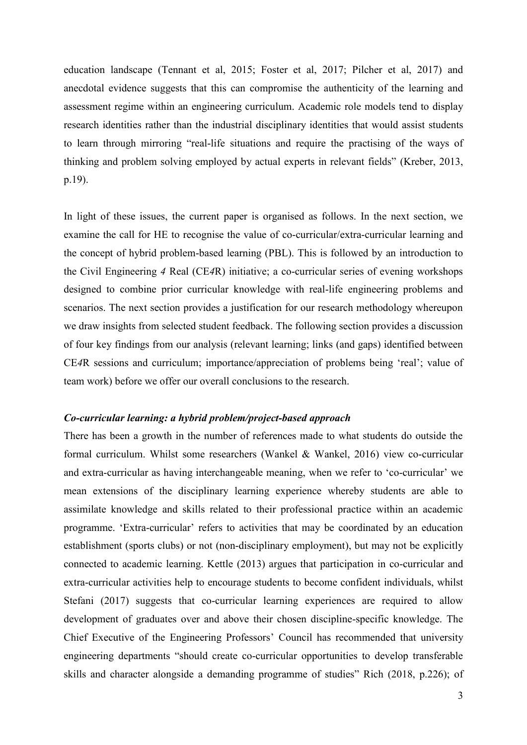education landscape (Tennant et al, 2015; Foster et al, 2017; Pilcher et al, 2017) and anecdotal evidence suggests that this can compromise the authenticity of the learning and assessment regime within an engineering curriculum. Academic role models tend to display research identities rather than the industrial disciplinary identities that would assist students to learn through mirroring "real-life situations and require the practising of the ways of thinking and problem solving employed by actual experts in relevant fields" (Kreber, 2013, p.19).

In light of these issues, the current paper is organised as follows. In the next section, we examine the call for HE to recognise the value of co-curricular/extra-curricular learning and the concept of hybrid problem-based learning (PBL). This is followed by an introduction to the Civil Engineering *4* Real (CE*4*R) initiative; a co-curricular series of evening workshops designed to combine prior curricular knowledge with real-life engineering problems and scenarios. The next section provides a justification for our research methodology whereupon we draw insights from selected student feedback. The following section provides a discussion of four key findings from our analysis (relevant learning; links (and gaps) identified between CE*4*R sessions and curriculum; importance/appreciation of problems being 'real'; value of team work) before we offer our overall conclusions to the research.

## *Co-curricular learning: a hybrid problem/project-based approach*

There has been a growth in the number of references made to what students do outside the formal curriculum. Whilst some researchers (Wankel & Wankel, 2016) view co-curricular and extra-curricular as having interchangeable meaning, when we refer to 'co-curricular' we mean extensions of the disciplinary learning experience whereby students are able to assimilate knowledge and skills related to their professional practice within an academic programme. 'Extra-curricular' refers to activities that may be coordinated by an education establishment (sports clubs) or not (non-disciplinary employment), but may not be explicitly connected to academic learning. Kettle (2013) argues that participation in co-curricular and extra-curricular activities help to encourage students to become confident individuals, whilst Stefani (2017) suggests that co-curricular learning experiences are required to allow development of graduates over and above their chosen discipline-specific knowledge. The Chief Executive of the Engineering Professors' Council has recommended that university engineering departments "should create co-curricular opportunities to develop transferable skills and character alongside a demanding programme of studies" Rich (2018, p.226); of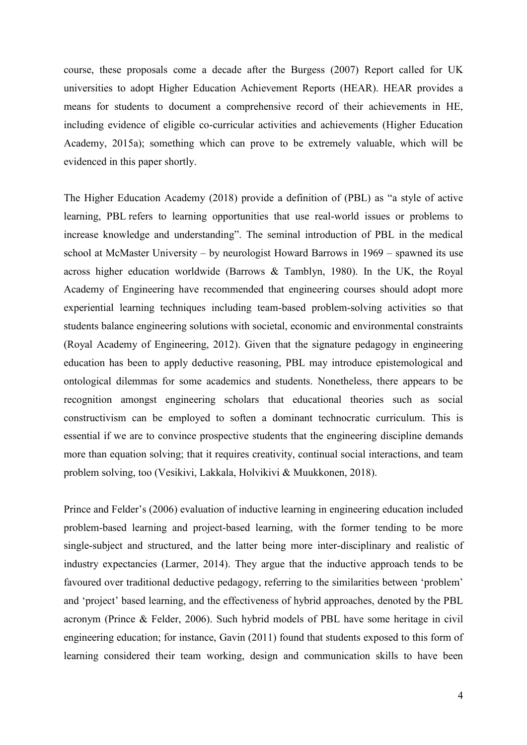course, these proposals come a decade after the Burgess (2007) Report called for UK universities to adopt Higher Education Achievement Reports (HEAR). HEAR provides a means for students to document a comprehensive record of their achievements in HE, including evidence of eligible co-curricular activities and achievements (Higher Education Academy, 2015a); something which can prove to be extremely valuable, which will be evidenced in this paper shortly.

The Higher Education Academy (2018) provide a definition of (PBL) as "a style of active learning, PBL refers to learning opportunities that use real-world issues or problems to increase knowledge and understanding". The seminal introduction of PBL in the medical school at McMaster University – by neurologist Howard Barrows in 1969 – spawned its use across higher education worldwide (Barrows & Tamblyn, 1980). In the UK, the Royal Academy of Engineering have recommended that engineering courses should adopt more experiential learning techniques including team-based problem-solving activities so that students balance engineering solutions with societal, economic and environmental constraints (Royal Academy of Engineering, 2012). Given that the signature pedagogy in engineering education has been to apply deductive reasoning, PBL may introduce epistemological and ontological dilemmas for some academics and students. Nonetheless, there appears to be recognition amongst engineering scholars that educational theories such as social constructivism can be employed to soften a dominant technocratic curriculum. This is essential if we are to convince prospective students that the engineering discipline demands more than equation solving; that it requires creativity, continual social interactions, and team problem solving, too (Vesikivi, Lakkala, Holvikivi & Muukkonen, 2018).

Prince and Felder's (2006) evaluation of inductive learning in engineering education included problem-based learning and project-based learning, with the former tending to be more single-subject and structured, and the latter being more inter-disciplinary and realistic of industry expectancies (Larmer, 2014). They argue that the inductive approach tends to be favoured over traditional deductive pedagogy, referring to the similarities between 'problem' and 'project' based learning, and the effectiveness of hybrid approaches, denoted by the PBL acronym (Prince & Felder, 2006). Such hybrid models of PBL have some heritage in civil engineering education; for instance, Gavin (2011) found that students exposed to this form of learning considered their team working, design and communication skills to have been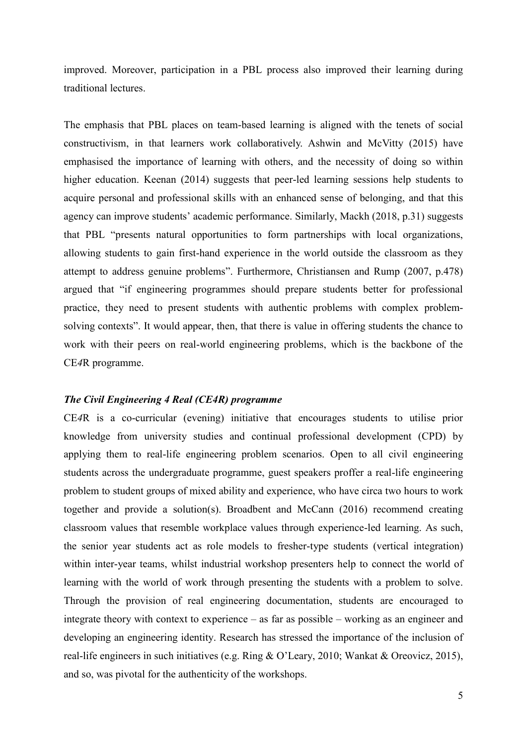improved. Moreover, participation in a PBL process also improved their learning during traditional lectures.

The emphasis that PBL places on team-based learning is aligned with the tenets of social constructivism, in that learners work collaboratively. Ashwin and McVitty (2015) have emphasised the importance of learning with others, and the necessity of doing so within higher education. Keenan (2014) suggests that peer-led learning sessions help students to acquire personal and professional skills with an enhanced sense of belonging, and that this agency can improve students' academic performance. Similarly, Mackh (2018, p.31) suggests that PBL "presents natural opportunities to form partnerships with local organizations, allowing students to gain first-hand experience in the world outside the classroom as they attempt to address genuine problems". Furthermore, Christiansen and Rump (2007, p.478) argued that "if engineering programmes should prepare students better for professional practice, they need to present students with authentic problems with complex problemsolving contexts". It would appear, then, that there is value in offering students the chance to work with their peers on real-world engineering problems, which is the backbone of the CE*4*R programme.

## *The Civil Engineering 4 Real (CE4R) programme*

CE*4*R is a co-curricular (evening) initiative that encourages students to utilise prior knowledge from university studies and continual professional development (CPD) by applying them to real-life engineering problem scenarios. Open to all civil engineering students across the undergraduate programme, guest speakers proffer a real-life engineering problem to student groups of mixed ability and experience, who have circa two hours to work together and provide a solution(s). Broadbent and McCann (2016) recommend creating classroom values that resemble workplace values through experience-led learning. As such, the senior year students act as role models to fresher-type students (vertical integration) within inter-year teams, whilst industrial workshop presenters help to connect the world of learning with the world of work through presenting the students with a problem to solve. Through the provision of real engineering documentation, students are encouraged to integrate theory with context to experience – as far as possible – working as an engineer and developing an engineering identity. Research has stressed the importance of the inclusion of real-life engineers in such initiatives (e.g. Ring & O'Leary, 2010; Wankat & Oreovicz, 2015), and so, was pivotal for the authenticity of the workshops.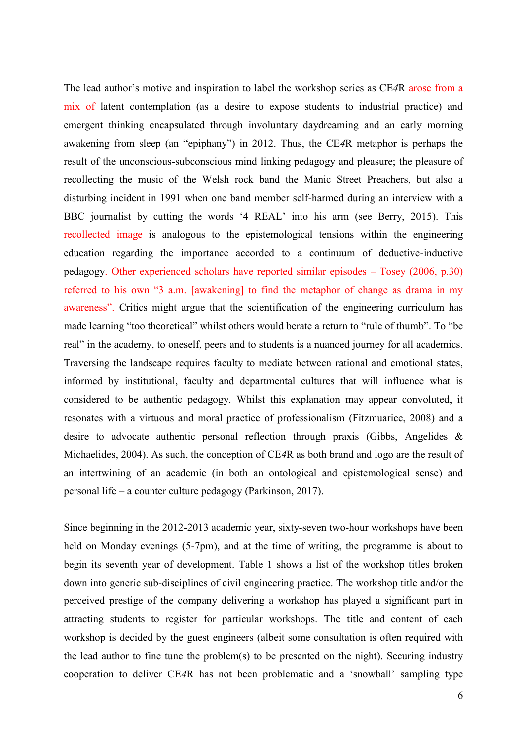The lead author's motive and inspiration to label the workshop series as CE*4*R arose from a mix of latent contemplation (as a desire to expose students to industrial practice) and emergent thinking encapsulated through involuntary daydreaming and an early morning awakening from sleep (an "epiphany") in 2012. Thus, the CE*4*R metaphor is perhaps the result of the unconscious-subconscious mind linking pedagogy and pleasure; the pleasure of recollecting the music of the Welsh rock band the Manic Street Preachers, but also a disturbing incident in 1991 when one band member self-harmed during an interview with a BBC journalist by cutting the words '4 REAL' into his arm (see Berry, 2015). This recollected image is analogous to the epistemological tensions within the engineering education regarding the importance accorded to a continuum of deductive-inductive pedagogy. Other experienced scholars have reported similar episodes – Tosey (2006, p.30) referred to his own "3 a.m. [awakening] to find the metaphor of change as drama in my awareness". Critics might argue that the scientification of the engineering curriculum has made learning "too theoretical" whilst others would berate a return to "rule of thumb". To "be real" in the academy, to oneself, peers and to students is a nuanced journey for all academics. Traversing the landscape requires faculty to mediate between rational and emotional states, informed by institutional, faculty and departmental cultures that will influence what is considered to be authentic pedagogy. Whilst this explanation may appear convoluted, it resonates with a virtuous and moral practice of professionalism (Fitzmuarice, 2008) and a desire to advocate authentic personal reflection through praxis (Gibbs, Angelides & Michaelides, 2004). As such, the conception of CE*4*R as both brand and logo are the result of an intertwining of an academic (in both an ontological and epistemological sense) and personal life – a counter culture pedagogy (Parkinson, 2017).

Since beginning in the 2012-2013 academic year, sixty-seven two-hour workshops have been held on Monday evenings (5-7pm), and at the time of writing, the programme is about to begin its seventh year of development. Table 1 shows a list of the workshop titles broken down into generic sub-disciplines of civil engineering practice. The workshop title and/or the perceived prestige of the company delivering a workshop has played a significant part in attracting students to register for particular workshops. The title and content of each workshop is decided by the guest engineers (albeit some consultation is often required with the lead author to fine tune the problem(s) to be presented on the night). Securing industry cooperation to deliver CE*4*R has not been problematic and a 'snowball' sampling type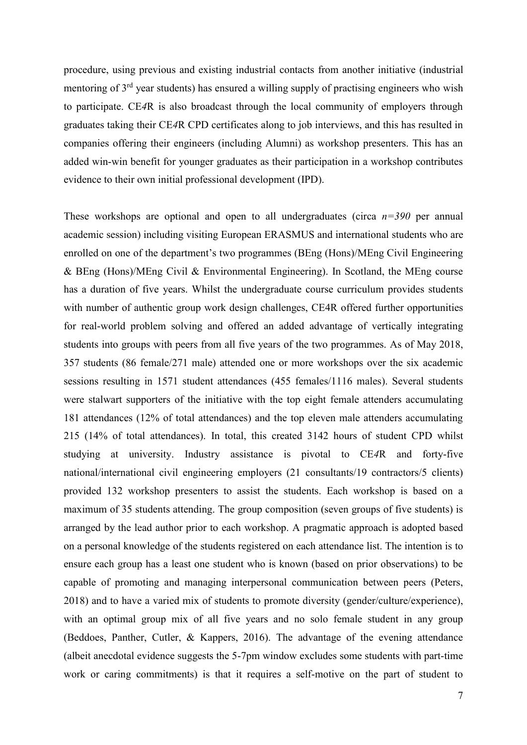procedure, using previous and existing industrial contacts from another initiative (industrial mentoring of 3rd year students) has ensured a willing supply of practising engineers who wish to participate. CE*4*R is also broadcast through the local community of employers through graduates taking their CE*4*R CPD certificates along to job interviews, and this has resulted in companies offering their engineers (including Alumni) as workshop presenters. This has an added win-win benefit for younger graduates as their participation in a workshop contributes evidence to their own initial professional development (IPD).

These workshops are optional and open to all undergraduates (circa *n=390* per annual academic session) including visiting European ERASMUS and international students who are enrolled on one of the department's two programmes (BEng (Hons)/MEng Civil Engineering & BEng (Hons)/MEng Civil & Environmental Engineering). In Scotland, the MEng course has a duration of five years. Whilst the undergraduate course curriculum provides students with number of authentic group work design challenges, CE4R offered further opportunities for real-world problem solving and offered an added advantage of vertically integrating students into groups with peers from all five years of the two programmes. As of May 2018, 357 students (86 female/271 male) attended one or more workshops over the six academic sessions resulting in 1571 student attendances (455 females/1116 males). Several students were stalwart supporters of the initiative with the top eight female attenders accumulating 181 attendances (12% of total attendances) and the top eleven male attenders accumulating 215 (14% of total attendances). In total, this created 3142 hours of student CPD whilst studying at university. Industry assistance is pivotal to CE*4*R and forty-five national/international civil engineering employers (21 consultants/19 contractors/5 clients) provided 132 workshop presenters to assist the students. Each workshop is based on a maximum of 35 students attending. The group composition (seven groups of five students) is arranged by the lead author prior to each workshop. A pragmatic approach is adopted based on a personal knowledge of the students registered on each attendance list. The intention is to ensure each group has a least one student who is known (based on prior observations) to be capable of promoting and managing interpersonal communication between peers (Peters, 2018) and to have a varied mix of students to promote diversity (gender/culture/experience), with an optimal group mix of all five years and no solo female student in any group (Beddoes, Panther, Cutler, & Kappers, 2016). The advantage of the evening attendance (albeit anecdotal evidence suggests the 5-7pm window excludes some students with part-time work or caring commitments) is that it requires a self-motive on the part of student to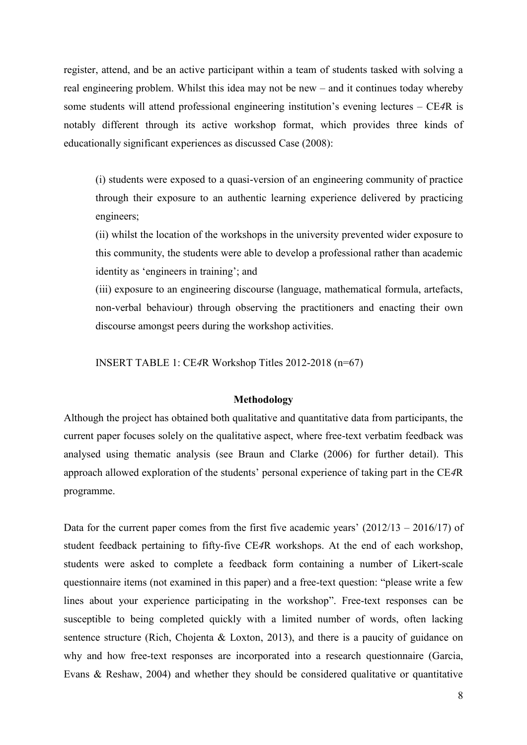register, attend, and be an active participant within a team of students tasked with solving a real engineering problem. Whilst this idea may not be new – and it continues today whereby some students will attend professional engineering institution's evening lectures – CE*4*R is notably different through its active workshop format, which provides three kinds of educationally significant experiences as discussed Case (2008):

(i) students were exposed to a quasi-version of an engineering community of practice through their exposure to an authentic learning experience delivered by practicing engineers;

(ii) whilst the location of the workshops in the university prevented wider exposure to this community, the students were able to develop a professional rather than academic identity as 'engineers in training'; and

(iii) exposure to an engineering discourse (language, mathematical formula, artefacts, non-verbal behaviour) through observing the practitioners and enacting their own discourse amongst peers during the workshop activities.

INSERT TABLE 1: CE*4*R Workshop Titles 2012-2018 (n=67)

### **Methodology**

Although the project has obtained both qualitative and quantitative data from participants, the current paper focuses solely on the qualitative aspect, where free-text verbatim feedback was analysed using thematic analysis (see Braun and Clarke (2006) for further detail). This approach allowed exploration of the students' personal experience of taking part in the CE*4*R programme.

Data for the current paper comes from the first five academic years'  $(2012/13 - 2016/17)$  of student feedback pertaining to fifty-five CE*4*R workshops. At the end of each workshop, students were asked to complete a feedback form containing a number of Likert-scale questionnaire items (not examined in this paper) and a free-text question: "please write a few lines about your experience participating in the workshop". Free-text responses can be susceptible to being completed quickly with a limited number of words, often lacking sentence structure (Rich, Chojenta & Loxton, 2013), and there is a paucity of guidance on why and how free-text responses are incorporated into a research questionnaire (Garcia, Evans & Reshaw, 2004) and whether they should be considered qualitative or quantitative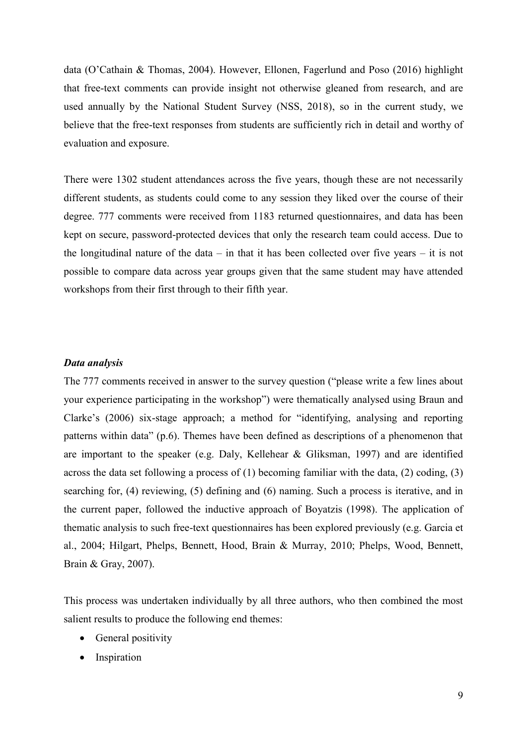data (O'Cathain & Thomas, 2004). However, Ellonen, Fagerlund and Poso (2016) highlight that free-text comments can provide insight not otherwise gleaned from research, and are used annually by the National Student Survey (NSS, 2018), so in the current study, we believe that the free-text responses from students are sufficiently rich in detail and worthy of evaluation and exposure.

There were 1302 student attendances across the five years, though these are not necessarily different students, as students could come to any session they liked over the course of their degree. 777 comments were received from 1183 returned questionnaires, and data has been kept on secure, password-protected devices that only the research team could access. Due to the longitudinal nature of the data – in that it has been collected over five years – it is not possible to compare data across year groups given that the same student may have attended workshops from their first through to their fifth year.

## *Data analysis*

The 777 comments received in answer to the survey question ("please write a few lines about your experience participating in the workshop") were thematically analysed using Braun and Clarke's (2006) six-stage approach; a method for "identifying, analysing and reporting patterns within data" (p.6). Themes have been defined as descriptions of a phenomenon that are important to the speaker (e.g. Daly, Kellehear  $\&$  Gliksman, 1997) and are identified across the data set following a process of (1) becoming familiar with the data, (2) coding, (3) searching for, (4) reviewing, (5) defining and (6) naming. Such a process is iterative, and in the current paper, followed the inductive approach of Boyatzis (1998). The application of thematic analysis to such free-text questionnaires has been explored previously (e.g. Garcia et al., 2004; Hilgart, Phelps, Bennett, Hood, Brain & Murray, 2010; Phelps, Wood, Bennett, Brain & Gray, 2007).

This process was undertaken individually by all three authors, who then combined the most salient results to produce the following end themes:

- General positivity
- Inspiration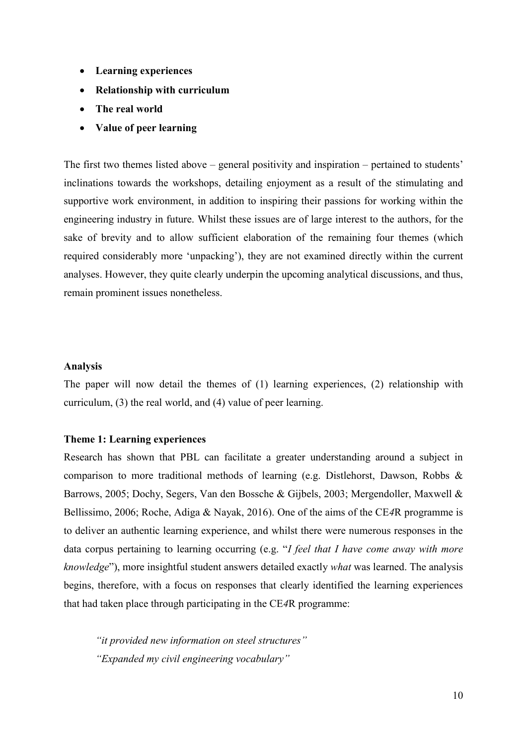- **Learning experiences**
- **Relationship with curriculum**
- **The real world**
- **Value of peer learning**

The first two themes listed above – general positivity and inspiration – pertained to students' inclinations towards the workshops, detailing enjoyment as a result of the stimulating and supportive work environment, in addition to inspiring their passions for working within the engineering industry in future. Whilst these issues are of large interest to the authors, for the sake of brevity and to allow sufficient elaboration of the remaining four themes (which required considerably more 'unpacking'), they are not examined directly within the current analyses. However, they quite clearly underpin the upcoming analytical discussions, and thus, remain prominent issues nonetheless.

# **Analysis**

The paper will now detail the themes of (1) learning experiences, (2) relationship with curriculum, (3) the real world, and (4) value of peer learning.

## **Theme 1: Learning experiences**

Research has shown that PBL can facilitate a greater understanding around a subject in comparison to more traditional methods of learning (e.g. Distlehorst, Dawson, Robbs & Barrows, 2005; Dochy, Segers, Van den Bossche & Gijbels, 2003; Mergendoller, Maxwell & Bellissimo, 2006; Roche, Adiga & Nayak, 2016). One of the aims of the CE*4*R programme is to deliver an authentic learning experience, and whilst there were numerous responses in the data corpus pertaining to learning occurring (e.g. "*I feel that I have come away with more knowledge*"), more insightful student answers detailed exactly *what* was learned. The analysis begins, therefore, with a focus on responses that clearly identified the learning experiences that had taken place through participating in the CE*4*R programme:

*"it provided new information on steel structures" "Expanded my civil engineering vocabulary"*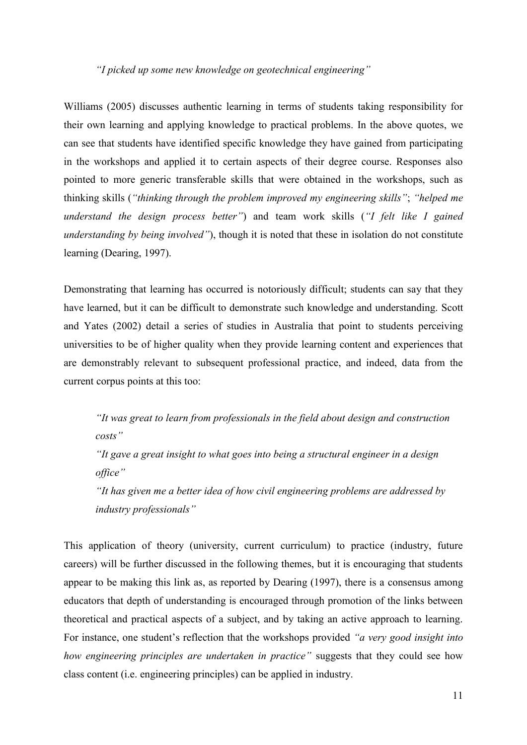# *"I picked up some new knowledge on geotechnical engineering"*

Williams (2005) discusses authentic learning in terms of students taking responsibility for their own learning and applying knowledge to practical problems. In the above quotes, we can see that students have identified specific knowledge they have gained from participating in the workshops and applied it to certain aspects of their degree course. Responses also pointed to more generic transferable skills that were obtained in the workshops, such as thinking skills (*"thinking through the problem improved my engineering skills"*; *"helped me understand the design process better"*) and team work skills (*"I felt like I gained understanding by being involved"*), though it is noted that these in isolation do not constitute learning (Dearing, 1997).

Demonstrating that learning has occurred is notoriously difficult; students can say that they have learned, but it can be difficult to demonstrate such knowledge and understanding. Scott and Yates (2002) detail a series of studies in Australia that point to students perceiving universities to be of higher quality when they provide learning content and experiences that are demonstrably relevant to subsequent professional practice, and indeed, data from the current corpus points at this too:

*"It was great to learn from professionals in the field about design and construction costs"*

*"It gave a great insight to what goes into being a structural engineer in a design office"*

*"It has given me a better idea of how civil engineering problems are addressed by industry professionals"*

This application of theory (university, current curriculum) to practice (industry, future careers) will be further discussed in the following themes, but it is encouraging that students appear to be making this link as, as reported by Dearing (1997), there is a consensus among educators that depth of understanding is encouraged through promotion of the links between theoretical and practical aspects of a subject, and by taking an active approach to learning. For instance, one student's reflection that the workshops provided *"a very good insight into how engineering principles are undertaken in practice"* suggests that they could see how class content (i.e. engineering principles) can be applied in industry.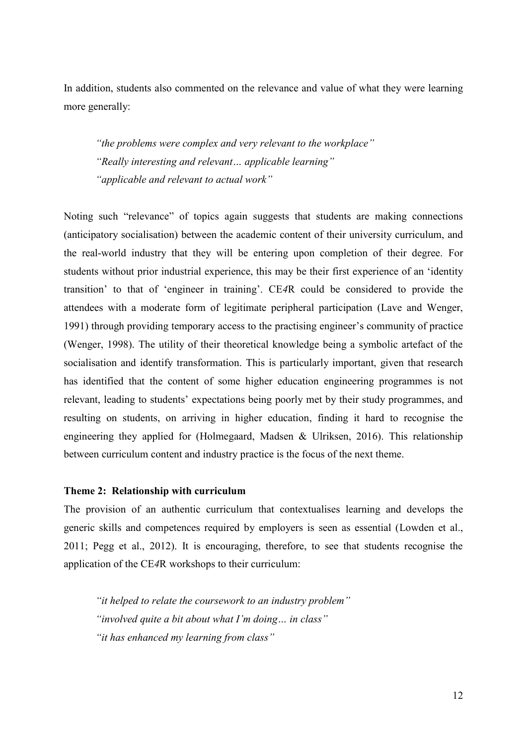In addition, students also commented on the relevance and value of what they were learning more generally:

*"the problems were complex and very relevant to the workplace" "Really interesting and relevant… applicable learning" "applicable and relevant to actual work"*

Noting such "relevance" of topics again suggests that students are making connections (anticipatory socialisation) between the academic content of their university curriculum, and the real-world industry that they will be entering upon completion of their degree. For students without prior industrial experience, this may be their first experience of an 'identity transition' to that of 'engineer in training'. CE*4*R could be considered to provide the attendees with a moderate form of legitimate peripheral participation (Lave and Wenger, 1991) through providing temporary access to the practising engineer's community of practice (Wenger, 1998). The utility of their theoretical knowledge being a symbolic artefact of the socialisation and identify transformation. This is particularly important, given that research has identified that the content of some higher education engineering programmes is not relevant, leading to students' expectations being poorly met by their study programmes, and resulting on students, on arriving in higher education, finding it hard to recognise the engineering they applied for (Holmegaard, Madsen & Ulriksen, 2016). This relationship between curriculum content and industry practice is the focus of the next theme.

### **Theme 2: Relationship with curriculum**

The provision of an authentic curriculum that contextualises learning and develops the generic skills and competences required by employers is seen as essential (Lowden et al., 2011; Pegg et al., 2012). It is encouraging, therefore, to see that students recognise the application of the CE*4*R workshops to their curriculum:

*"it helped to relate the coursework to an industry problem" "involved quite a bit about what I'm doing… in class" "it has enhanced my learning from class"*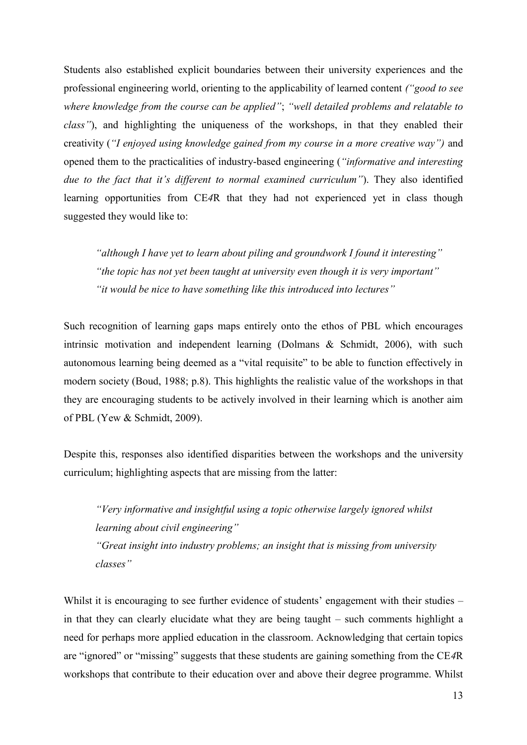Students also established explicit boundaries between their university experiences and the professional engineering world, orienting to the applicability of learned content *("good to see where knowledge from the course can be applied"*; *"well detailed problems and relatable to class"*), and highlighting the uniqueness of the workshops, in that they enabled their creativity (*"I enjoyed using knowledge gained from my course in a more creative way")* and opened them to the practicalities of industry-based engineering (*"informative and interesting due to the fact that it's different to normal examined curriculum"*). They also identified learning opportunities from CE*4*R that they had not experienced yet in class though suggested they would like to:

*"although I have yet to learn about piling and groundwork I found it interesting" "the topic has not yet been taught at university even though it is very important" "it would be nice to have something like this introduced into lectures"*

Such recognition of learning gaps maps entirely onto the ethos of PBL which encourages intrinsic motivation and independent learning (Dolmans & Schmidt, 2006), with such autonomous learning being deemed as a "vital requisite" to be able to function effectively in modern society (Boud, 1988; p.8). This highlights the realistic value of the workshops in that they are encouraging students to be actively involved in their learning which is another aim of PBL (Yew & Schmidt, 2009).

Despite this, responses also identified disparities between the workshops and the university curriculum; highlighting aspects that are missing from the latter:

*"Very informative and insightful using a topic otherwise largely ignored whilst learning about civil engineering" "Great insight into industry problems; an insight that is missing from university classes"*

Whilst it is encouraging to see further evidence of students' engagement with their studies – in that they can clearly elucidate what they are being taught – such comments highlight a need for perhaps more applied education in the classroom. Acknowledging that certain topics are "ignored" or "missing" suggests that these students are gaining something from the CE*4*R workshops that contribute to their education over and above their degree programme. Whilst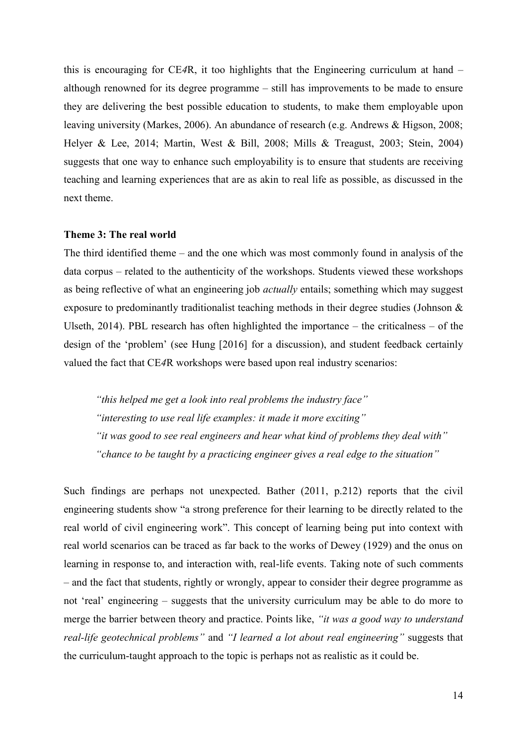this is encouraging for CE*4*R, it too highlights that the Engineering curriculum at hand – although renowned for its degree programme – still has improvements to be made to ensure they are delivering the best possible education to students, to make them employable upon leaving university (Markes, 2006). An abundance of research (e.g. Andrews & Higson, 2008; Helyer & Lee, 2014; Martin, West & Bill, 2008; Mills & Treagust, 2003; Stein, 2004) suggests that one way to enhance such employability is to ensure that students are receiving teaching and learning experiences that are as akin to real life as possible, as discussed in the next theme.

## **Theme 3: The real world**

The third identified theme – and the one which was most commonly found in analysis of the data corpus – related to the authenticity of the workshops. Students viewed these workshops as being reflective of what an engineering job *actually* entails; something which may suggest exposure to predominantly traditionalist teaching methods in their degree studies (Johnson & Ulseth, 2014). PBL research has often highlighted the importance – the criticalness – of the design of the 'problem' (see Hung [2016] for a discussion), and student feedback certainly valued the fact that CE*4*R workshops were based upon real industry scenarios:

*"this helped me get a look into real problems the industry face" "interesting to use real life examples: it made it more exciting" "it was good to see real engineers and hear what kind of problems they deal with" "chance to be taught by a practicing engineer gives a real edge to the situation"*

Such findings are perhaps not unexpected. Bather (2011, p.212) reports that the civil engineering students show "a strong preference for their learning to be directly related to the real world of civil engineering work". This concept of learning being put into context with real world scenarios can be traced as far back to the works of Dewey (1929) and the onus on learning in response to, and interaction with, real-life events. Taking note of such comments – and the fact that students, rightly or wrongly, appear to consider their degree programme as not 'real' engineering – suggests that the university curriculum may be able to do more to merge the barrier between theory and practice. Points like, *"it was a good way to understand real-life geotechnical problems"* and *"I learned a lot about real engineering"* suggests that the curriculum-taught approach to the topic is perhaps not as realistic as it could be.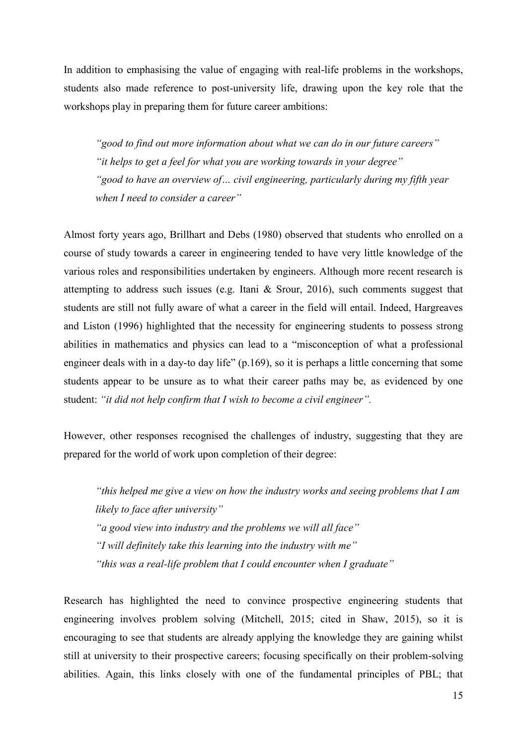In addition to emphasising the value of engaging with real-life problems in the workshops, students also made reference to post-university life, drawing upon the key role that the workshops play in preparing them for future career ambitions:

*"good to find out more information about what we can do in our future careers" "it helps to get a feel for what you are working towards in your degree" "good to have an overview of… civil engineering, particularly during my fifth year when I need to consider a career"*

Almost forty years ago, Brillhart and Debs (1980) observed that students who enrolled on a course of study towards a career in engineering tended to have very little knowledge of the various roles and responsibilities undertaken by engineers. Although more recent research is attempting to address such issues (e.g. Itani & Srour, 2016), such comments suggest that students are still not fully aware of what a career in the field will entail. Indeed, Hargreaves and Liston (1996) highlighted that the necessity for engineering students to possess strong abilities in mathematics and physics can lead to a "misconception of what a professional engineer deals with in a day-to day life" (p.169), so it is perhaps a little concerning that some students appear to be unsure as to what their career paths may be, as evidenced by one student: *"it did not help confirm that I wish to become a civil engineer".*

However, other responses recognised the challenges of industry, suggesting that they are prepared for the world of work upon completion of their degree:

*"this helped me give a view on how the industry works and seeing problems that I am likely to face after university" "a good view into industry and the problems we will all face" "I will definitely take this learning into the industry with me" "this was a real-life problem that I could encounter when I graduate"*

Research has highlighted the need to convince prospective engineering students that engineering involves problem solving (Mitchell, 2015; cited in Shaw, 2015), so it is encouraging to see that students are already applying the knowledge they are gaining whilst still at university to their prospective careers; focusing specifically on their problem-solving abilities. Again, this links closely with one of the fundamental principles of PBL; that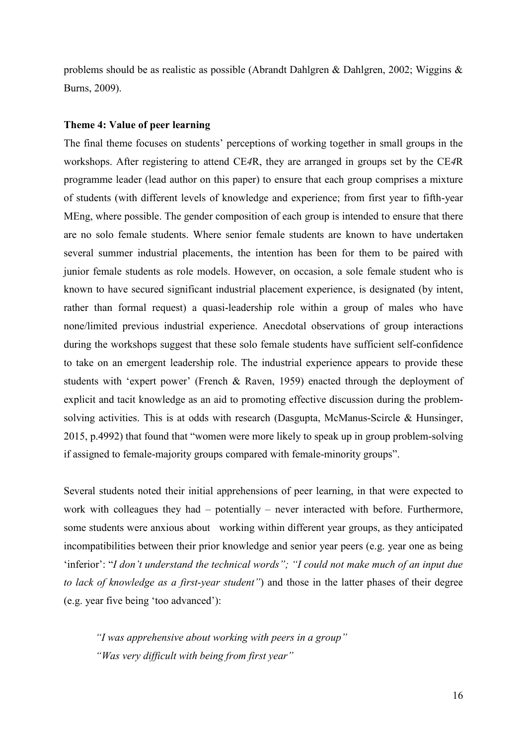problems should be as realistic as possible (Abrandt Dahlgren & Dahlgren, 2002; Wiggins & Burns, 2009).

# **Theme 4: Value of peer learning**

The final theme focuses on students' perceptions of working together in small groups in the workshops. After registering to attend CE*4*R, they are arranged in groups set by the CE*4*R programme leader (lead author on this paper) to ensure that each group comprises a mixture of students (with different levels of knowledge and experience; from first year to fifth-year MEng, where possible. The gender composition of each group is intended to ensure that there are no solo female students. Where senior female students are known to have undertaken several summer industrial placements, the intention has been for them to be paired with junior female students as role models. However, on occasion, a sole female student who is known to have secured significant industrial placement experience, is designated (by intent, rather than formal request) a quasi-leadership role within a group of males who have none/limited previous industrial experience. Anecdotal observations of group interactions during the workshops suggest that these solo female students have sufficient self-confidence to take on an emergent leadership role. The industrial experience appears to provide these students with 'expert power' (French & Raven, 1959) enacted through the deployment of explicit and tacit knowledge as an aid to promoting effective discussion during the problemsolving activities. This is at odds with research (Dasgupta, McManus-Scircle & Hunsinger, 2015, p.4992) that found that "women were more likely to speak up in group problem-solving if assigned to female-majority groups compared with female-minority groups".

Several students noted their initial apprehensions of peer learning, in that were expected to work with colleagues they had – potentially – never interacted with before. Furthermore, some students were anxious about working within different year groups, as they anticipated incompatibilities between their prior knowledge and senior year peers (e.g. year one as being 'inferior': "*I don't understand the technical words"; "I could not make much of an input due to lack of knowledge as a first-year student"*) and those in the latter phases of their degree (e.g. year five being 'too advanced'):

*"I was apprehensive about working with peers in a group" "Was very difficult with being from first year"*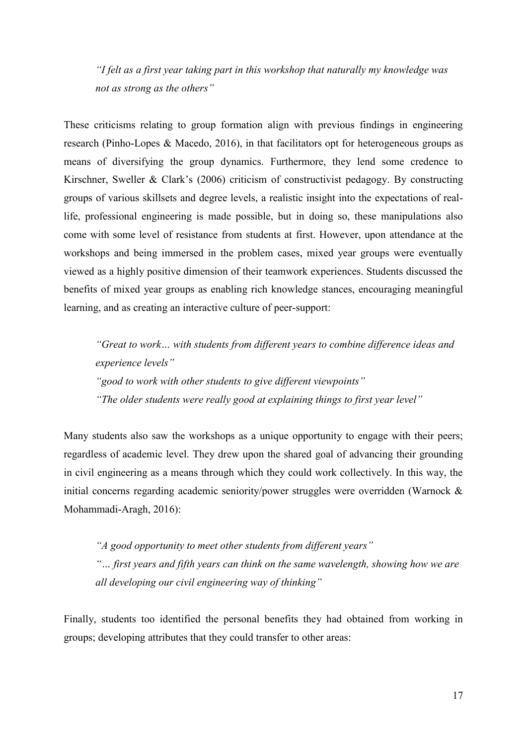*"I felt as a first year taking part in this workshop that naturally my knowledge was not as strong as the others"*

These criticisms relating to group formation align with previous findings in engineering research (Pinho-Lopes & Macedo, 2016), in that facilitators opt for heterogeneous groups as means of diversifying the group dynamics. Furthermore, they lend some credence to Kirschner, Sweller & Clark's (2006) criticism of constructivist pedagogy. By constructing groups of various skillsets and degree levels, a realistic insight into the expectations of reallife, professional engineering is made possible, but in doing so, these manipulations also come with some level of resistance from students at first. However, upon attendance at the workshops and being immersed in the problem cases, mixed year groups were eventually viewed as a highly positive dimension of their teamwork experiences. Students discussed the benefits of mixed year groups as enabling rich knowledge stances, encouraging meaningful learning, and as creating an interactive culture of peer-support:

*"Great to work… with students from different years to combine difference ideas and experience levels" "good to work with other students to give different viewpoints" "The older students were really good at explaining things to first year level"*

Many students also saw the workshops as a unique opportunity to engage with their peers; regardless of academic level. They drew upon the shared goal of advancing their grounding in civil engineering as a means through which they could work collectively. In this way, the initial concerns regarding academic seniority/power struggles were overridden (Warnock & Mohammadi-Aragh, 2016):

*"A good opportunity to meet other students from different years" "… first years and fifth years can think on the same wavelength, showing how we are all developing our civil engineering way of thinking"*

Finally, students too identified the personal benefits they had obtained from working in groups; developing attributes that they could transfer to other areas: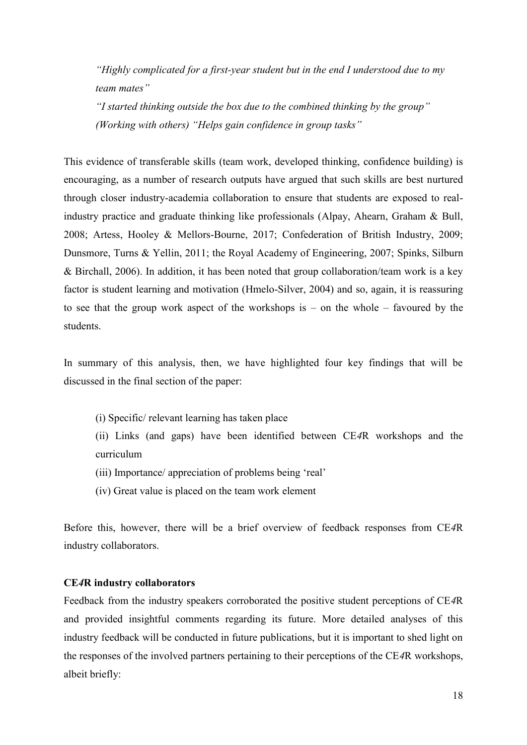*"Highly complicated for a first-year student but in the end I understood due to my team mates"*

*"I started thinking outside the box due to the combined thinking by the group" (Working with others) "Helps gain confidence in group tasks"*

This evidence of transferable skills (team work, developed thinking, confidence building) is encouraging, as a number of research outputs have argued that such skills are best nurtured through closer industry-academia collaboration to ensure that students are exposed to realindustry practice and graduate thinking like professionals (Alpay, Ahearn, Graham & Bull, 2008; Artess, Hooley & Mellors-Bourne, 2017; Confederation of British Industry, 2009; Dunsmore, Turns & Yellin, 2011; the Royal Academy of Engineering, 2007; Spinks, Silburn & Birchall, 2006). In addition, it has been noted that group collaboration/team work is a key factor is student learning and motivation (Hmelo-Silver, 2004) and so, again, it is reassuring to see that the group work aspect of the workshops is – on the whole – favoured by the students.

In summary of this analysis, then, we have highlighted four key findings that will be discussed in the final section of the paper:

- (i) Specific/ relevant learning has taken place
- (ii) Links (and gaps) have been identified between CE*4*R workshops and the curriculum
- (iii) Importance/ appreciation of problems being 'real'
- (iv) Great value is placed on the team work element

Before this, however, there will be a brief overview of feedback responses from CE*4*R industry collaborators.

## **CE***4***R industry collaborators**

Feedback from the industry speakers corroborated the positive student perceptions of CE*4*R and provided insightful comments regarding its future. More detailed analyses of this industry feedback will be conducted in future publications, but it is important to shed light on the responses of the involved partners pertaining to their perceptions of the CE*4*R workshops, albeit briefly: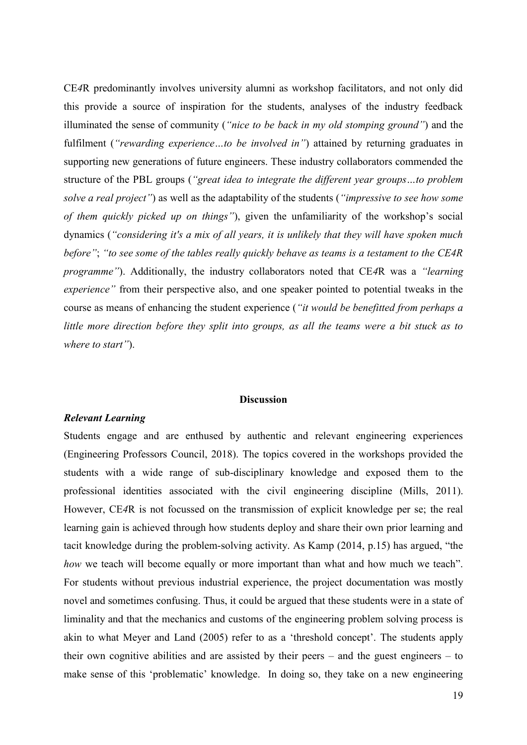CE*4*R predominantly involves university alumni as workshop facilitators, and not only did this provide a source of inspiration for the students, analyses of the industry feedback illuminated the sense of community (*"nice to be back in my old stomping ground"*) and the fulfilment (*"rewarding experience…to be involved in"*) attained by returning graduates in supporting new generations of future engineers. These industry collaborators commended the structure of the PBL groups (*"great idea to integrate the different year groups…to problem solve a real project"*) as well as the adaptability of the students (*"impressive to see how some of them quickly picked up on things"*), given the unfamiliarity of the workshop's social dynamics (*"considering it's a mix of all years, it is unlikely that they will have spoken much before"*; *"to see some of the tables really quickly behave as teams is a testament to the CE4R programme"*). Additionally, the industry collaborators noted that CE*4*R was a *"learning experience"* from their perspective also, and one speaker pointed to potential tweaks in the course as means of enhancing the student experience (*"it would be benefitted from perhaps a little more direction before they split into groups, as all the teams were a bit stuck as to where to start"*).

### **Discussion**

#### *Relevant Learning*

Students engage and are enthused by authentic and relevant engineering experiences (Engineering Professors Council, 2018). The topics covered in the workshops provided the students with a wide range of sub-disciplinary knowledge and exposed them to the professional identities associated with the civil engineering discipline (Mills, 2011). However, CE*4*R is not focussed on the transmission of explicit knowledge per se; the real learning gain is achieved through how students deploy and share their own prior learning and tacit knowledge during the problem-solving activity. As Kamp (2014, p.15) has argued, "the *how* we teach will become equally or more important than what and how much we teach". For students without previous industrial experience, the project documentation was mostly novel and sometimes confusing. Thus, it could be argued that these students were in a state of liminality and that the mechanics and customs of the engineering problem solving process is akin to what Meyer and Land (2005) refer to as a 'threshold concept'. The students apply their own cognitive abilities and are assisted by their peers – and the guest engineers – to make sense of this 'problematic' knowledge. In doing so, they take on a new engineering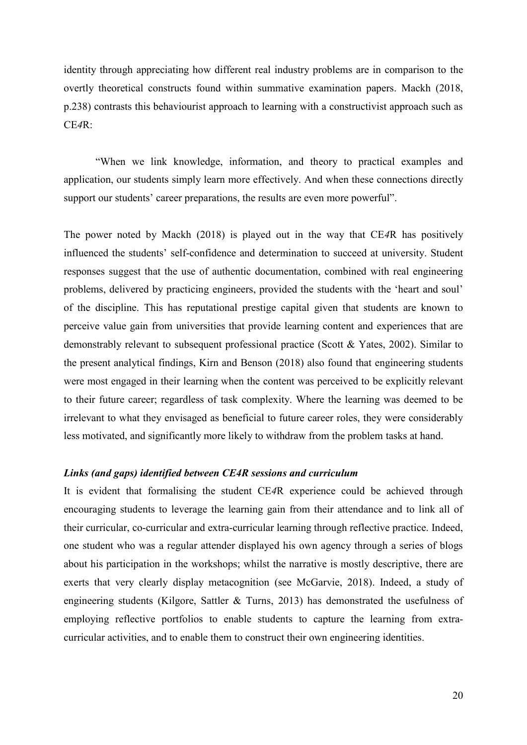identity through appreciating how different real industry problems are in comparison to the overtly theoretical constructs found within summative examination papers. Mackh (2018, p.238) contrasts this behaviourist approach to learning with a constructivist approach such as CE*4*R:

"When we link knowledge, information, and theory to practical examples and application, our students simply learn more effectively. And when these connections directly support our students' career preparations, the results are even more powerful".

The power noted by Mackh (2018) is played out in the way that CE*4*R has positively influenced the students' self-confidence and determination to succeed at university. Student responses suggest that the use of authentic documentation, combined with real engineering problems, delivered by practicing engineers, provided the students with the 'heart and soul' of the discipline. This has reputational prestige capital given that students are known to perceive value gain from universities that provide learning content and experiences that are demonstrably relevant to subsequent professional practice (Scott & Yates, 2002). Similar to the present analytical findings, Kirn and Benson (2018) also found that engineering students were most engaged in their learning when the content was perceived to be explicitly relevant to their future career; regardless of task complexity. Where the learning was deemed to be irrelevant to what they envisaged as beneficial to future career roles, they were considerably less motivated, and significantly more likely to withdraw from the problem tasks at hand.

# *Links (and gaps) identified between CE4R sessions and curriculum*

It is evident that formalising the student CE*4*R experience could be achieved through encouraging students to leverage the learning gain from their attendance and to link all of their curricular, co-curricular and extra-curricular learning through reflective practice. Indeed, one student who was a regular attender displayed his own agency through a series of blogs about his participation in the workshops; whilst the narrative is mostly descriptive, there are exerts that very clearly display metacognition (see McGarvie, 2018). Indeed, a study of engineering students (Kilgore, Sattler & Turns, 2013) has demonstrated the usefulness of employing reflective portfolios to enable students to capture the learning from extracurricular activities, and to enable them to construct their own engineering identities.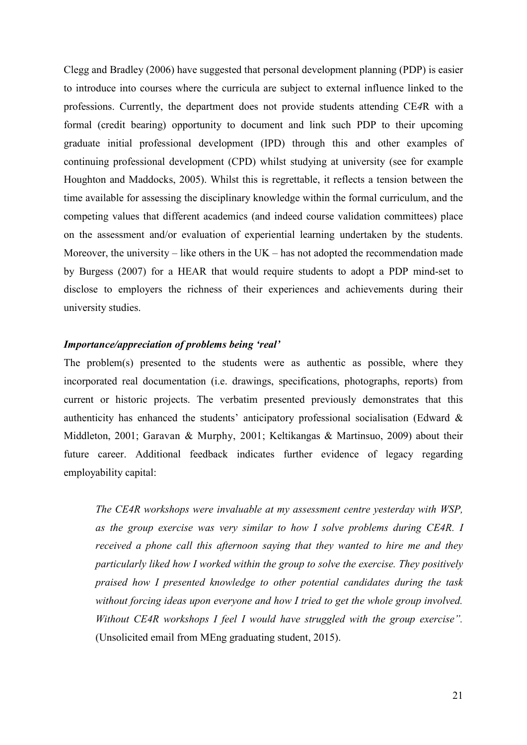Clegg and Bradley (2006) have suggested that personal development planning (PDP) is easier to introduce into courses where the curricula are subject to external influence linked to the professions. Currently, the department does not provide students attending CE*4*R with a formal (credit bearing) opportunity to document and link such PDP to their upcoming graduate initial professional development (IPD) through this and other examples of continuing professional development (CPD) whilst studying at university (see for example Houghton and Maddocks, 2005). Whilst this is regrettable, it reflects a tension between the time available for assessing the disciplinary knowledge within the formal curriculum, and the competing values that different academics (and indeed course validation committees) place on the assessment and/or evaluation of experiential learning undertaken by the students. Moreover, the university – like others in the  $UK$  – has not adopted the recommendation made by Burgess (2007) for a HEAR that would require students to adopt a PDP mind-set to disclose to employers the richness of their experiences and achievements during their university studies.

# *Importance/appreciation of problems being 'real'*

The problem(s) presented to the students were as authentic as possible, where they incorporated real documentation (i.e. drawings, specifications, photographs, reports) from current or historic projects. The verbatim presented previously demonstrates that this authenticity has enhanced the students' anticipatory professional socialisation (Edward & Middleton, 2001; [Garavan](https://www.emeraldinsight.com/author/Garavan%2C+Thomas+N) & [Murphy,](https://www.emeraldinsight.com/author/Murphy%2C+Claire) 2001; Keltikangas & Martinsuo, 2009) about their future career. Additional feedback indicates further evidence of legacy regarding employability capital:

*The CE4R workshops were invaluable at my assessment centre yesterday with WSP, as the group exercise was very similar to how I solve problems during CE4R. I received a phone call this afternoon saying that they wanted to hire me and they particularly liked how I worked within the group to solve the exercise. They positively praised how I presented knowledge to other potential candidates during the task without forcing ideas upon everyone and how I tried to get the whole group involved. Without CE4R workshops I feel I would have struggled with the group exercise".*  (Unsolicited email from MEng graduating student, 2015).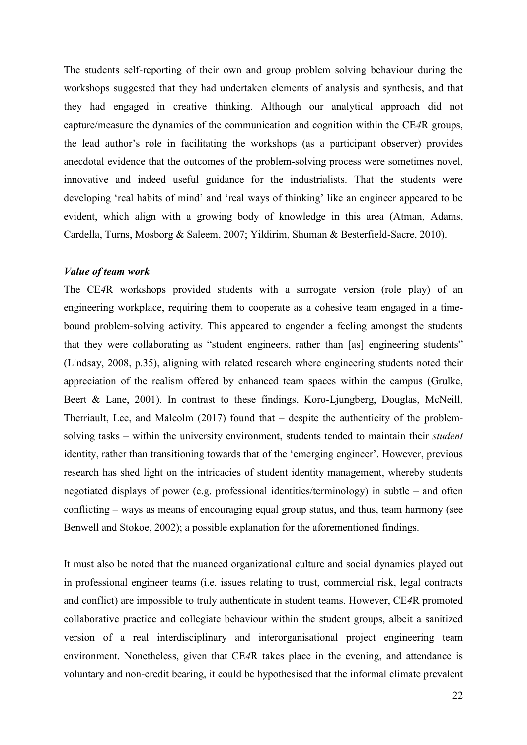The students self-reporting of their own and group problem solving behaviour during the workshops suggested that they had undertaken elements of analysis and synthesis, and that they had engaged in creative thinking. Although our analytical approach did not capture/measure the dynamics of the communication and cognition within the CE*4*R groups, the lead author's role in facilitating the workshops (as a participant observer) provides anecdotal evidence that the outcomes of the problem-solving process were sometimes novel, innovative and indeed useful guidance for the industrialists. That the students were developing 'real habits of mind' and 'real ways of thinking' like an engineer appeared to be evident, which align with a growing body of knowledge in this area (Atman, Adams, Cardella, Turns, Mosborg & Saleem, 2007; Yildirim, Shuman & Besterfield-Sacre, 2010).

### *Value of team work*

The CE*4*R workshops provided students with a surrogate version (role play) of an engineering workplace, requiring them to cooperate as a cohesive team engaged in a timebound problem-solving activity. This appeared to engender a feeling amongst the students that they were collaborating as "student engineers, rather than [as] engineering students" (Lindsay, 2008, p.35), aligning with related research where engineering students noted their appreciation of the realism offered by enhanced team spaces within the campus [\(Grulke,](https://onlinelibrary.wiley.com/action/doSearch?ContribAuthorStored=Grulke%2C+Eric+A) Beert & Lane, 2001). In contrast to these findings, Koro-Ljungberg, Douglas, McNeill, Therriault, Lee, and Malcolm (2017) found that – despite the authenticity of the problemsolving tasks – within the university environment, students tended to maintain their *student* identity, rather than transitioning towards that of the 'emerging engineer'. However, previous research has shed light on the intricacies of student identity management, whereby students negotiated displays of power (e.g. professional identities/terminology) in subtle – and often conflicting – ways as means of encouraging equal group status, and thus, team harmony (see Benwell and Stokoe, 2002); a possible explanation for the aforementioned findings.

It must also be noted that the nuanced organizational culture and social dynamics played out in professional engineer teams (i.e. issues relating to trust, commercial risk, legal contracts and conflict) are impossible to truly authenticate in student teams. However, CE*4*R promoted collaborative practice and collegiate behaviour within the student groups, albeit a sanitized version of a real interdisciplinary and interorganisational project engineering team environment. Nonetheless, given that CE*4*R takes place in the evening, and attendance is voluntary and non-credit bearing, it could be hypothesised that the informal climate prevalent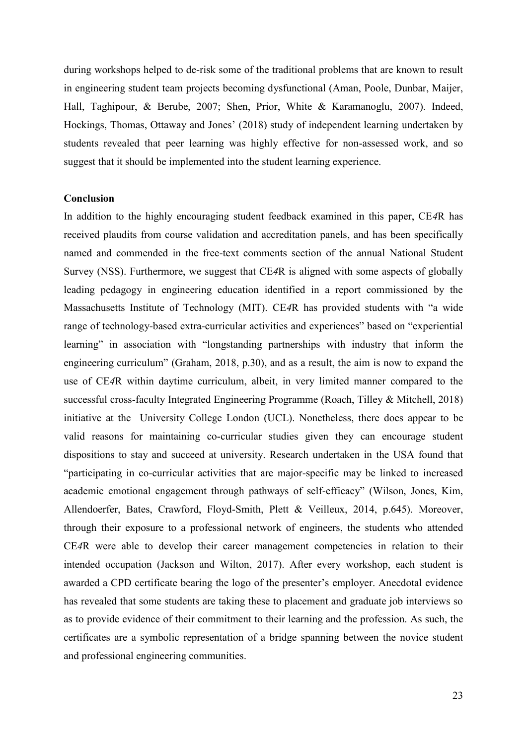during workshops helped to de-risk some of the traditional problems that are known to result in engineering student team projects becoming dysfunctional (Aman, Poole, Dunbar, Maijer, Hall, Taghipour, & Berube, 2007; Shen, Prior, White & Karamanoglu, 2007). Indeed, Hockings, Thomas, Ottaway and Jones' (2018) study of independent learning undertaken by students revealed that peer learning was highly effective for non-assessed work, and so suggest that it should be implemented into the student learning experience.

## **Conclusion**

In addition to the highly encouraging student feedback examined in this paper, CE*4*R has received plaudits from course validation and accreditation panels, and has been specifically named and commended in the free-text comments section of the annual National Student Survey (NSS). Furthermore, we suggest that CE*4*R is aligned with some aspects of globally leading pedagogy in engineering education identified in a report commissioned by the Massachusetts Institute of Technology (MIT). CE*4*R has provided students with "a wide range of technology-based extra-curricular activities and experiences" based on "experiential learning" in association with "longstanding partnerships with industry that inform the engineering curriculum" (Graham, 2018, p.30), and as a result, the aim is now to expand the use of CE*4*R within daytime curriculum, albeit, in very limited manner compared to the successful cross-faculty Integrated Engineering Programme (Roach, Tilley & Mitchell, 2018) initiative at the University College London (UCL). Nonetheless, there does appear to be valid reasons for maintaining co-curricular studies given they can encourage student dispositions to stay and succeed at university. Research undertaken in the USA found that "participating in co-curricular activities that are major-specific may be linked to increased academic emotional engagement through pathways of self-efficacy" (Wilson, Jones, Kim, Allendoerfer, Bates, Crawford, Floyd-Smith, Plett & Veilleux, 2014, p.645). Moreover, through their exposure to a professional network of engineers, the students who attended CE*4*R were able to develop their career management competencies in relation to their intended occupation (Jackson and Wilton, 2017). After every workshop, each student is awarded a CPD certificate bearing the logo of the presenter's employer. Anecdotal evidence has revealed that some students are taking these to placement and graduate job interviews so as to provide evidence of their commitment to their learning and the profession. As such, the certificates are a symbolic representation of a bridge spanning between the novice student and professional engineering communities.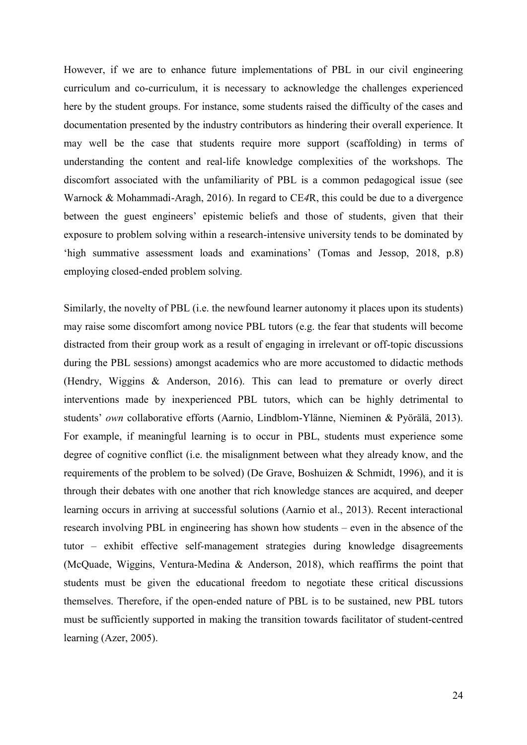However, if we are to enhance future implementations of PBL in our civil engineering curriculum and co-curriculum, it is necessary to acknowledge the challenges experienced here by the student groups. For instance, some students raised the difficulty of the cases and documentation presented by the industry contributors as hindering their overall experience. It may well be the case that students require more support (scaffolding) in terms of understanding the content and real-life knowledge complexities of the workshops. The discomfort associated with the unfamiliarity of PBL is a common pedagogical issue (see Warnock & Mohammadi-Aragh, 2016). In regard to CE*4*R, this could be due to a divergence between the guest engineers' epistemic beliefs and those of students, given that their exposure to problem solving within a research-intensive university tends to be dominated by 'high summative assessment loads and examinations' (Tomas and Jessop, 2018, p.8) employing closed-ended problem solving.

Similarly, the novelty of PBL (i.e. the newfound learner autonomy it places upon its students) may raise some discomfort among novice PBL tutors (e.g. the fear that students will become distracted from their group work as a result of engaging in irrelevant or off-topic discussions during the PBL sessions) amongst academics who are more accustomed to didactic methods (Hendry, Wiggins & Anderson, 2016). This can lead to premature or overly direct interventions made by inexperienced PBL tutors, which can be highly detrimental to students' *own* collaborative efforts (Aarnio, Lindblom-Ylänne, Nieminen & Pyörälä, 2013). For example, if meaningful learning is to occur in PBL, students must experience some degree of cognitive conflict (i.e. the misalignment between what they already know, and the requirements of the problem to be solved) (De Grave, Boshuizen & Schmidt, 1996), and it is through their debates with one another that rich knowledge stances are acquired, and deeper learning occurs in arriving at successful solutions (Aarnio et al., 2013). Recent interactional research involving PBL in engineering has shown how students – even in the absence of the tutor – exhibit effective self-management strategies during knowledge disagreements (McQuade, Wiggins, Ventura-Medina & Anderson, 2018), which reaffirms the point that students must be given the educational freedom to negotiate these critical discussions themselves. Therefore, if the open-ended nature of PBL is to be sustained, new PBL tutors must be sufficiently supported in making the transition towards facilitator of student-centred learning (Azer, 2005).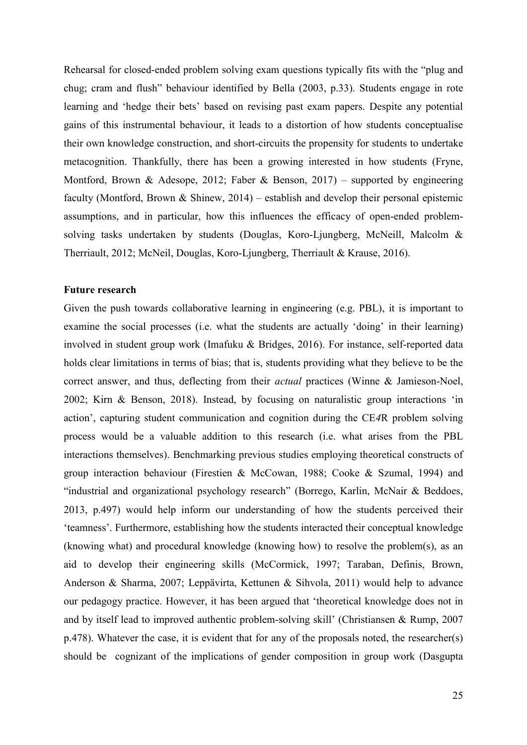Rehearsal for closed-ended problem solving exam questions typically fits with the "plug and chug; cram and flush" behaviour identified by Bella (2003, p.33). Students engage in rote learning and 'hedge their bets' based on revising past exam papers. Despite any potential gains of this instrumental behaviour, it leads to a distortion of how students conceptualise their own knowledge construction, and short-circuits the propensity for students to undertake metacognition. Thankfully, there has been a growing interested in how students (Fryne, Montford, Brown & Adesope, 2012; Faber & Benson, 2017) – supported by engineering faculty [\(Montford, Brown](file:///C:/Users/Mike/Desktop/26.%20Mike) & Shinew, 2014) – establish and develop their personal epistemic assumptions, and in particular, how this influences the efficacy of open-ended problemsolving tasks undertaken by students (Douglas, Koro-Ljungberg, McNeill, Malcolm & Therriault, 2012; McNeil, Douglas, Koro-Ljungberg, Therriault & Krause, 2016).

## **Future research**

Given the push towards collaborative learning in engineering (e.g. PBL), it is important to examine the social processes (i.e. what the students are actually 'doing' in their learning) involved in student group work (Imafuku & Bridges, 2016). For instance, self-reported data holds clear limitations in terms of bias; that is, students providing what they believe to be the correct answer, and thus, deflecting from their *actual* practices (Winne & Jamieson-Noel, 2002; Kirn & Benson, 2018). Instead, by focusing on naturalistic group interactions 'in action', capturing student communication and cognition during the CE*4*R problem solving process would be a valuable addition to this research (i.e. what arises from the PBL interactions themselves). Benchmarking previous studies employing theoretical constructs of group interaction behaviour (Firestien & McCowan, 1988; Cooke & Szumal, 1994) and "industrial and organizational psychology research" [\(Borrego,](https://onlinelibrary.wiley.com/action/doSearch?ContribAuthorStored=Borrego%2C+Maura) Karlin, McNair & Beddoes, 2013, p.497) would help inform our understanding of how the students perceived their 'teamness'. Furthermore, establishing how the students interacted their conceptual knowledge (knowing what) and procedural knowledge (knowing how) to resolve the problem(s), as an aid to develop their engineering skills (McCormick, 1997; Taraban, Definis, Brown, Anderson & Sharma, 2007; Leppävirta, Kettunen & Sihvola, 2011) would help to advance our pedagogy practice. However, it has been argued that 'theoretical knowledge does not in and by itself lead to improved authentic problem-solving skill' (Christiansen & Rump, 2007 p.478). Whatever the case, it is evident that for any of the proposals noted, the researcher(s) should be cognizant of the implications of gender composition in group work (Dasgupta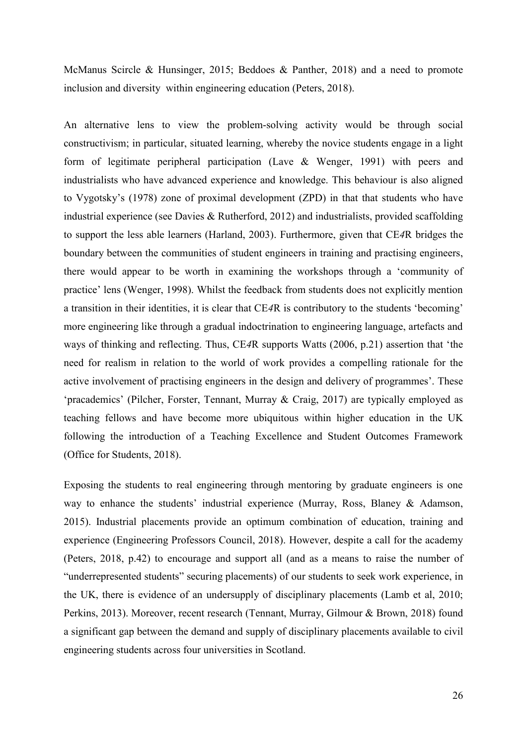McManus Scircle & Hunsinger, 2015; Beddoes & Panther, 2018) and a need to promote inclusion and diversity within engineering education (Peters, 2018).

An alternative lens to view the problem-solving activity would be through social constructivism; in particular, situated learning, whereby the novice students engage in a light form of legitimate peripheral participation (Lave & Wenger, 1991) with peers and industrialists who have advanced experience and knowledge. This behaviour is also aligned to Vygotsky's (1978) zone of proximal development (ZPD) in that that students who have industrial experience (see Davies & Rutherford, 2012) and industrialists, provided scaffolding to support the less able learners (Harland, 2003). Furthermore, given that CE*4*R bridges the boundary between the communities of student engineers in training and practising engineers, there would appear to be worth in examining the workshops through a 'community of practice' lens (Wenger, 1998). Whilst the feedback from students does not explicitly mention a transition in their identities, it is clear that CE*4*R is contributory to the students 'becoming' more engineering like through a gradual indoctrination to engineering language, artefacts and ways of thinking and reflecting. Thus, CE*4*R supports Watts (2006, p.21) assertion that 'the need for realism in relation to the world of work provides a compelling rationale for the active involvement of practising engineers in the design and delivery of programmes'. These 'pracademics' (Pilcher, Forster, Tennant, Murray & Craig, 2017) are typically employed as teaching fellows and have become more ubiquitous within higher education in the UK following the introduction of a Teaching Excellence and Student Outcomes Framework (Office for Students, 2018).

Exposing the students to real engineering through mentoring by graduate engineers is one way to enhance the students' industrial experience (Murray, Ross, Blaney & Adamson, 2015). Industrial placements provide an optimum combination of education, training and experience (Engineering Professors Council, 2018). However, despite a call for the academy (Peters, 2018, p.42) to encourage and support all (and as a means to raise the number of "underrepresented students" securing placements) of our students to seek work experience, in the UK, there is evidence of an undersupply of disciplinary placements (Lamb et al, 2010; Perkins, 2013). Moreover, recent research (Tennant, Murray, Gilmour & Brown, 2018) found a significant gap between the demand and supply of disciplinary placements available to civil engineering students across four universities in Scotland.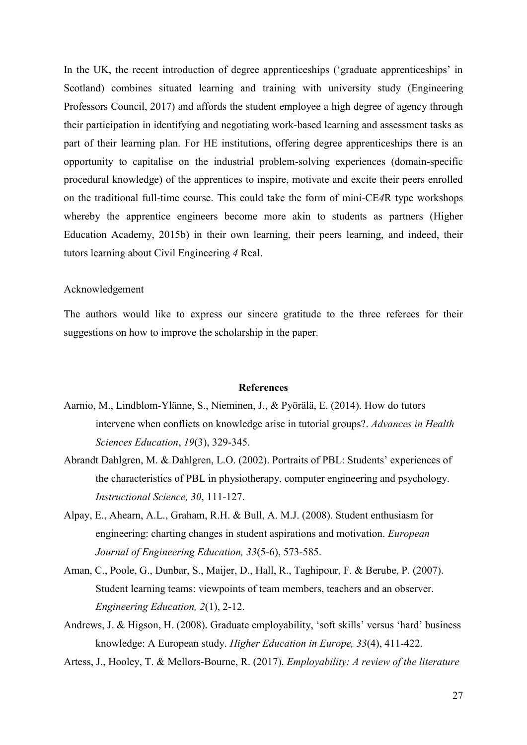In the UK, the recent introduction of degree apprenticeships ('graduate apprenticeships' in Scotland) combines situated learning and training with university study (Engineering Professors Council, 2017) and affords the student employee a high degree of agency through their participation in identifying and negotiating work-based learning and assessment tasks as part of their learning plan. For HE institutions, offering degree apprenticeships there is an opportunity to capitalise on the industrial problem-solving experiences (domain-specific procedural knowledge) of the apprentices to inspire, motivate and excite their peers enrolled on the traditional full-time course. This could take the form of mini-CE*4*R type workshops whereby the apprentice engineers become more akin to students as partners (Higher Education Academy, 2015b) in their own learning, their peers learning, and indeed, their tutors learning about Civil Engineering *4* Real.

## Acknowledgement

The authors would like to express our sincere gratitude to the three referees for their suggestions on how to improve the scholarship in the paper.

#### **References**

- Aarnio, M., Lindblom-Ylänne, S., Nieminen, J., & Pyörälä, E. (2014). How do tutors intervene when conflicts on knowledge arise in tutorial groups?. *Advances in Health Sciences Education*, *19*(3), 329-345.
- Abrandt Dahlgren, M. & Dahlgren, L.O. (2002). Portraits of PBL: Students' experiences of the characteristics of PBL in physiotherapy, computer engineering and psychology. *Instructional Science, 30*, 111-127.
- Alpay, E., Ahearn, A.L., Graham, R.H. & Bull, A. M.J. (2008). Student enthusiasm for engineering: charting changes in student aspirations and motivation. *European Journal of Engineering Education, 33*(5-6), 573-585.
- Aman, C., Poole, G., Dunbar, S., Maijer, D., Hall, R., Taghipour, F. & Berube, P. (2007). Student learning teams: viewpoints of team members, teachers and an observer. *Engineering Education, 2*(1), 2-12.
- Andrews, J. & Higson, H. (2008). Graduate employability, 'soft skills' versus 'hard' business knowledge: A European study. *Higher Education in Europe, 33*(4), 411-422.
- Artess, J., Hooley, T. & Mellors-Bourne, R. (2017). *Employability: A review of the literature*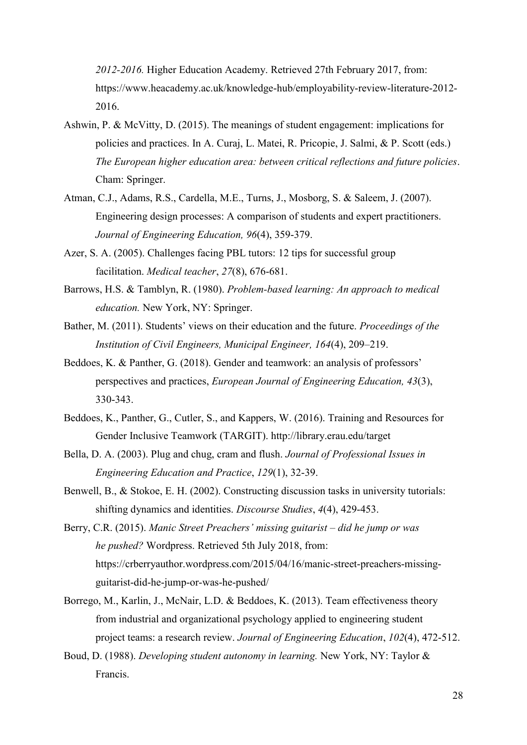*2012-2016.* Higher Education Academy. Retrieved 27th February 2017, from: [https://www.heacademy.ac.uk/knowledge-hub/employability-review-literature-2012-](https://www.heacademy.ac.uk/knowledge-hub/employability-review-literature-2012-2016) [2016.](https://www.heacademy.ac.uk/knowledge-hub/employability-review-literature-2012-2016)

- Ashwin, P. & McVitty, D. (2015). The meanings of student engagement: implications for policies and practices. In A. Curaj, L. Matei, R. Pricopie, J. Salmi, & P. Scott (eds.) *The European higher education area: between critical reflections and future policies*. Cham: Springer.
- Atman, C.J., Adams, R.S., Cardella, M.E., Turns, J., Mosborg, S. & Saleem, J. (2007). Engineering design processes: A comparison of students and expert practitioners. *Journal of Engineering Education, 96*(4), 359-379.
- Azer, S. A. (2005). Challenges facing PBL tutors: 12 tips for successful group facilitation. *Medical teacher*, *27*(8), 676-681.
- Barrows, H.S. & Tamblyn, R. (1980). *Problem-based learning: An approach to medical education.* New York, NY: Springer.
- Bather, M. (2011). Students' views on their education and the future. *Proceedings of the Institution of Civil Engineers, Municipal Engineer, 164*(4), 209–219.
- Beddoes, K. & Panther, G. (2018). Gender and teamwork: an analysis of professors' perspectives and practices, *European Journal of Engineering Education, 43*(3), 330-343.
- Beddoes, K., Panther, G., Cutler, S., and Kappers, W. (2016). Training and Resources for Gender Inclusive Teamwork (TARGIT). http://library.erau.edu/target
- Bella, D. A. (2003). Plug and chug, cram and flush. *Journal of Professional Issues in Engineering Education and Practice*, *129*(1), 32-39.
- Benwell, B., & Stokoe, E. H. (2002). Constructing discussion tasks in university tutorials: shifting dynamics and identities. *Discourse Studies*, *4*(4), 429-453.
- Berry, C.R. (2015). *Manic Street Preachers' missing guitarist – did he jump or was he pushed?* Wordpress. Retrieved 5th July 2018, from: [https://crberryauthor.wordpress.com/2015/04/16/manic-street-preachers-missing](https://crberryauthor.wordpress.com/2015/04/16/manic-street-preachers-missing-guitarist-did-he-jump-or-was-he-pushed/)[guitarist-did-he-jump-or-was-he-pushed/](https://crberryauthor.wordpress.com/2015/04/16/manic-street-preachers-missing-guitarist-did-he-jump-or-was-he-pushed/)
- [Borrego,](https://onlinelibrary.wiley.com/action/doSearch?ContribAuthorStored=Borrego%2C+Maura) M., Karlin, J., McNair, L.D. & Beddoes, K. (2013). Team effectiveness theory from industrial and organizational psychology applied to engineering student project teams: a research review. *Journal of Engineering Education*, *102*(4), 472-512.
- Boud, D. (1988). *Developing student autonomy in learning.* New York, NY: Taylor & Francis.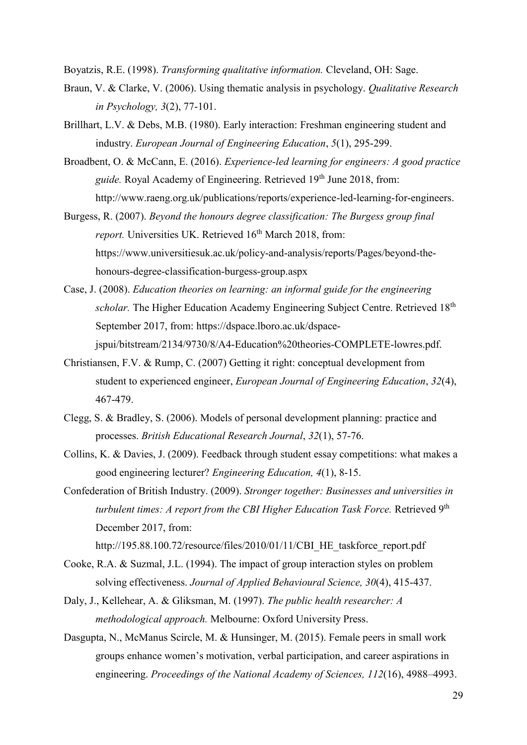Boyatzis, R.E. (1998). *Transforming qualitative information.* Cleveland, OH: Sage.

- Braun, V. & Clarke, V. (2006). Using thematic analysis in psychology. *Qualitative Research in Psychology, 3*(2), 77-101.
- Brillhart, L.V. & Debs, M.B. (1980). Early interaction: Freshman engineering student and industry. *European Journal of Engineering Education*, *5*(1), 295-299.
- Broadbent, O. & McCann, E. (2016). *Experience-led learning for engineers: A good practice guide.* Royal Academy of Engineering. Retrieved 19<sup>th</sup> June 2018, from: [http://www.raeng.org.uk/publications/reports/experience-led-learning-for-engineers.](http://www.raeng.org.uk/publications/reports/experience-led-learning-for-engineers)
- Burgess, R. (2007). *Beyond the honours degree classification: The Burgess group final report.* Universities UK. Retrieved 16<sup>th</sup> March 2018, from: https://www.universitiesuk.ac.uk/policy-and-analysis/reports/Pages/beyond-thehonours-degree-classification-burgess-group.aspx
- Case, J. (2008). *Education theories on learning: an informal guide for the engineering scholar*. The Higher Education Academy Engineering Subject Centre. Retrieved 18<sup>th</sup> September 2017, from: [https://dspace.lboro.ac.uk/dspace](https://dspace.lboro.ac.uk/dspace-jspui/bitstream/2134/9730/8/A4-Education%20theories-COMPLETE-lowres.pdf)[jspui/bitstream/2134/9730/8/A4-Education%20theories-COMPLETE-lowres.pdf.](https://dspace.lboro.ac.uk/dspace-jspui/bitstream/2134/9730/8/A4-Education%20theories-COMPLETE-lowres.pdf)
- Christiansen, F.V. & Rump, C. (2007) Getting it right: conceptual development from student to experienced engineer, *European Journal of Engineering Education*, *32*(4), 467-479.
- Clegg, S. & Bradley, S. (2006). Models of personal development planning: practice and processes. *British Educational Research Journal*, *32*(1), 57-76.
- Collins, K. & Davies, J. (2009). Feedback through student essay competitions: what makes a good engineering lecturer? *Engineering Education, 4*(1), 8-15.
- Confederation of British Industry. (2009). *Stronger together: Businesses and universities in turbulent times: A report from the CBI Higher Education Task Force.* Retrieved 9<sup>th</sup> December 2017, from:

[http://195.88.100.72/resource/files/2010/01/11/CBI\\_HE\\_taskforce\\_report.pdf](http://195.88.100.72/resource/files/2010/01/11/CBI_HE_taskforce_report.pdf)

- Cooke, R.A. & Suzmal, J.L. (1994). The impact of group interaction styles on problem solving effectiveness. *Journal of Applied Behavioural Science, 30*(4), 415-437.
- Daly, J., Kellehear, A. & Gliksman, M. (1997). *The public health researcher: A methodological approach.* Melbourne: Oxford University Press.
- Dasgupta, N., McManus Scircle, M. & Hunsinger, M. (2015). Female peers in small work groups enhance women's motivation, verbal participation, and career aspirations in engineering. *[Proceedings of the National Academy of Sciences,](https://www.researchgate.net/journal/1091-6490_Proceedings_of_the_National_Academy_of_Sciences) 112*(16), 4988–4993.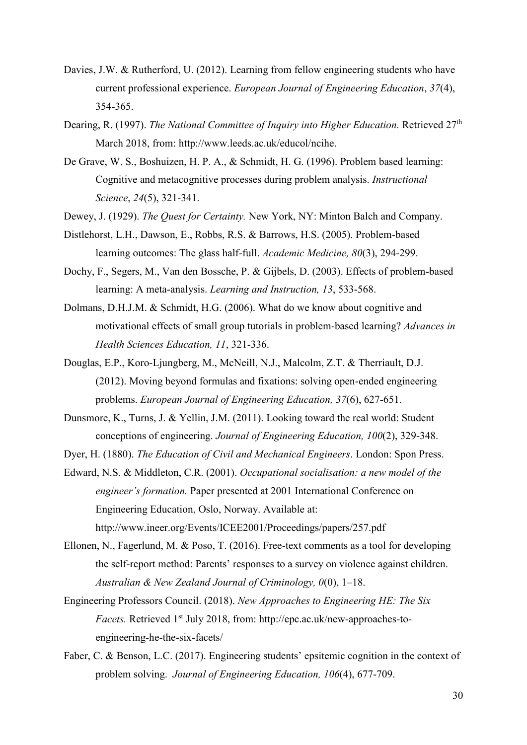- Davies, J.W. & Rutherford, U. (2012). Learning from fellow engineering students who have current professional experience. *European Journal of Engineering Education*, *37*(4), 354-365.
- Dearing, R. (1997). *The National Committee of Inquiry into Higher Education*. Retrieved 27<sup>th</sup> March 2018, from: [http://www.leeds.ac.uk/educol/ncihe.](http://www.leeds.ac.uk/educol/ncihe/)
- De Grave, W. S., Boshuizen, H. P. A., & Schmidt, H. G. (1996). Problem based learning: Cognitive and metacognitive processes during problem analysis. *Instructional Science*, *24*(5), 321-341.
- Dewey, J. (1929). *The Quest for Certainty.* New York, NY: Minton Balch and Company.
- Distlehorst, L.H., Dawson, E., Robbs, R.S. & Barrows, H.S. (2005). Problem-based learning outcomes: The glass half-full. *Academic Medicine, 80*(3), 294-299.
- Dochy, F., Segers, M., Van den Bossche, P. & Gijbels, D. (2003). Effects of problem-based learning: A meta-analysis. *Learning and Instruction, 13*, 533-568.
- Dolmans, D.H.J.M. & Schmidt, H.G. (2006). What do we know about cognitive and motivational effects of small group tutorials in problem-based learning? *Advances in Health Sciences Education, 11*, 321-336.
- Douglas, E.P., Koro-Ljungberg, M., McNeill, N.J., Malcolm, Z.T. & Therriault, D.J. (2012). Moving beyond formulas and fixations: solving open-ended engineering problems. *European Journal of Engineering Education, 37*(6), 627-651.
- Dunsmore, K., Turns, J. & Yellin, J.M. (2011). Looking toward the real world: Student conceptions of engineering. *Journal of Engineering Education, 100*(2), 329-348.
- Dyer, H. (1880). *The Education of Civil and Mechanical Engineers*. London: Spon Press.
- Edward, N.S. & Middleton, C.R. (2001). *Occupational socialisation: a new model of the engineer's formation.* Paper presented at 2001 International Conference on Engineering Education, Oslo, Norway. Available at: <http://www.ineer.org/Events/ICEE2001/Proceedings/papers/257.pdf>
- Ellonen, N., Fagerlund, M. & Poso, T. (2016). Free-text comments as a tool for developing the self-report method: Parents' responses to a survey on violence against children. *Australian & New Zealand Journal of Criminology, 0*(0), 1–18.
- Engineering Professors Council. (2018). *New Approaches to Engineering HE: The Six Facets.* Retrieved 1<sup>st</sup> July 2018, from: [http://epc.ac.uk/new-approaches-to](http://epc.ac.uk/new-approaches-to-engineering-he-the-six-facets/)[engineering-he-the-six-facets/](http://epc.ac.uk/new-approaches-to-engineering-he-the-six-facets/)
- Faber, C. & Benson, L.C. (2017). Engineering students' epsitemic cognition in the context of problem solving. *Journal of Engineering Education, 106*(4), 677-709.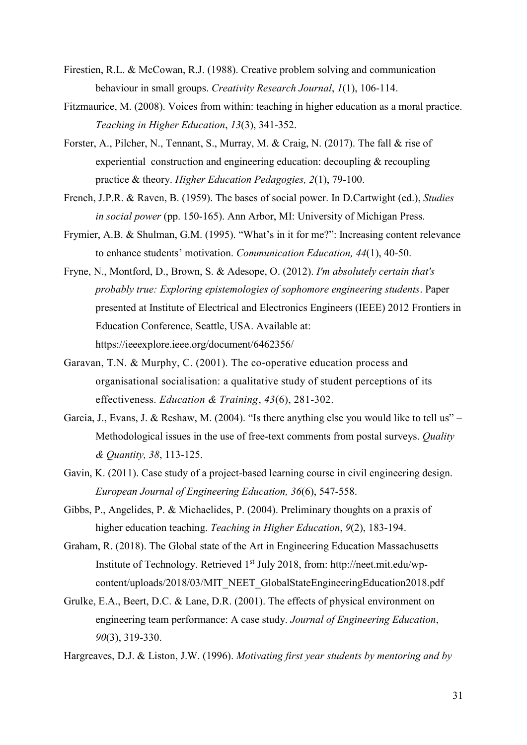- Firestien, R.L. & McCowan, R.J. (1988). Creative problem solving and communication behaviour in small groups. *Creativity Research Journal*, *1*(1), 106-114.
- Fitzmaurice, M. (2008). Voices from within: teaching in higher education as a moral practice. *Teaching in Higher Education*, *13*(3), 341-352.
- Forster, A., Pilcher, N., Tennant, S., Murray, M. & Craig, N. (2017). The fall & rise of experiential construction and engineering education: decoupling & recoupling practice & theory. *Higher Education Pedagogies, 2*(1), 79-100.
- French, J.P.R. & Raven, B. (1959). The bases of social power. In D.Cartwight (ed.), *Studies in social power* (pp. 150-165). Ann Arbor, MI: University of Michigan Press.
- Frymier, A.B. & Shulman, G.M. (1995). "What's in it for me?": Increasing content relevance to enhance students' motivation. *Communication Education, 44*(1), 40-50.
- Fryne, N., Montford, D., Brown, S. & Adesope, O. (2012). *I'm absolutely certain that's probably true: Exploring epistemologies of sophomore engineering students*. Paper presented at Institute of Electrical and Electronics Engineers (IEEE) 2012 Frontiers in Education Conference, Seattle, USA. Available at: https://ieeexplore.ieee.org/document/6462356/
- [Garavan,](https://www.emeraldinsight.com/author/Garavan%2C+Thomas+N) T.N. [& Murphy,](https://www.emeraldinsight.com/author/Murphy%2C+Claire) C. (2001). The co-operative education process and organisational socialisation: a qualitative study of student perceptions of its effectiveness. *Education & Training*, *43*(6), 281-302.
- Garcia, J., Evans, J. & Reshaw, M. (2004). "Is there anything else you would like to tell us" Methodological issues in the use of free-text comments from postal surveys. *Quality & Quantity, 38*, 113-125.
- Gavin, K. (2011). Case study of a project-based learning course in civil engineering design. *European Journal of Engineering Education, 36*(6), 547-558.
- Gibbs, P., Angelides, P. & Michaelides, P. (2004). Preliminary thoughts on a praxis of higher education teaching. *Teaching in Higher Education*, *9*(2), 183-194.
- Graham, R. (2018). The Global state of the Art in Engineering Education Massachusetts Institute of Technology. Retrieved 1st July 2018, from: [http://neet.mit.edu/wp](http://neet.mit.edu/wp-content/uploads/2018/03/MIT_NEET_GlobalStateEngineeringEducation2018.pdf)[content/uploads/2018/03/MIT\\_NEET\\_GlobalStateEngineeringEducation2018.pdf](http://neet.mit.edu/wp-content/uploads/2018/03/MIT_NEET_GlobalStateEngineeringEducation2018.pdf)
- [Grulke,](https://onlinelibrary.wiley.com/action/doSearch?ContribAuthorStored=Grulke%2C+Eric+A) E.A., Beert, D.C. & Lane, D.R. (2001). The effects of physical environment on engineering team performance: A case study. *Journal of Engineering Education*, *90*(3), 319-330.
- Hargreaves, D.J. & Liston, J.W. (1996). *Motivating first year students by mentoring and by*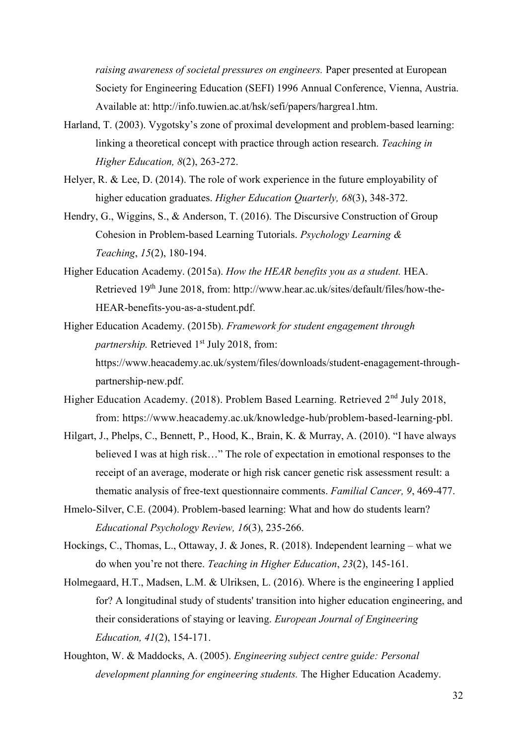*raising awareness of societal pressures on engineers.* Paper presented at European Society for Engineering Education (SEFI) 1996 Annual Conference, Vienna, Austria. Available at: http://info.tuwien.ac.at/hsk/sefi/papers/hargrea1.htm.

- Harland, T. (2003). Vygotsky's zone of proximal development and problem-based learning: linking a theoretical concept with practice through action research. *Teaching in Higher Education, 8*(2), 263-272.
- Helyer, R. & Lee, D. (2014). The role of work experience in the future employability of higher education graduates. *Higher Education Quarterly, 68*(3), 348-372.
- Hendry, G., Wiggins, S., & Anderson, T. (2016). The Discursive Construction of Group Cohesion in Problem-based Learning Tutorials. *Psychology Learning & Teaching*, *15*(2), 180-194.
- Higher Education Academy. (2015a). *How the HEAR benefits you as a student.* HEA. Retrieved 19th June 2018, from: [http://www.hear.ac.uk/sites/default/files/how-the-](http://www.hear.ac.uk/sites/default/files/how-the-HEAR-benefits-you-as-a-student.pdf)[HEAR-benefits-you-as-a-student.pdf.](http://www.hear.ac.uk/sites/default/files/how-the-HEAR-benefits-you-as-a-student.pdf)
- Higher Education Academy. (2015b). *Framework for student engagement through partnership.* Retrieved 1<sup>st</sup> July 2018, from: [https://www.heacademy.ac.uk/system/files/downloads/student-enagagement-through](https://www.heacademy.ac.uk/system/files/downloads/student-enagagement-through-)partnership-new.pdf.
- Higher Education Academy. (2018). Problem Based Learning. Retrieved 2<sup>nd</sup> July 2018, from: [https://www.heacademy.ac.uk/knowledge-hub/problem-based-learning-pbl.](https://www.heacademy.ac.uk/knowledge-hub/problem-based-learning-pbl)
- Hilgart, J., Phelps, C., Bennett, P., Hood, K., Brain, K. & Murray, A. (2010). "I have always believed I was at high risk…" The role of expectation in emotional responses to the receipt of an average, moderate or high risk cancer genetic risk assessment result: a thematic analysis of free-text questionnaire comments. *Familial Cancer, 9*, 469-477.
- Hmelo-Silver, C.E. (2004). Problem-based learning: What and how do students learn? *Educational Psychology Review, 16*(3), 235-266.
- Hockings, C., Thomas, L., Ottaway, J. & Jones, R. (2018). Independent learning what we do when you're not there. *Teaching in Higher Education*, *23*(2), 145-161.
- Holmegaard, H.T., Madsen, L.M. & Ulriksen, L. (2016). Where is the engineering I applied for? A longitudinal study of students' transition into higher education engineering, and their considerations of staying or leaving. *European Journal of Engineering Education, 41*(2), 154-171.
- Houghton, W. & Maddocks, A. (2005). *Engineering subject centre guide: Personal development planning for engineering students.* The Higher Education Academy.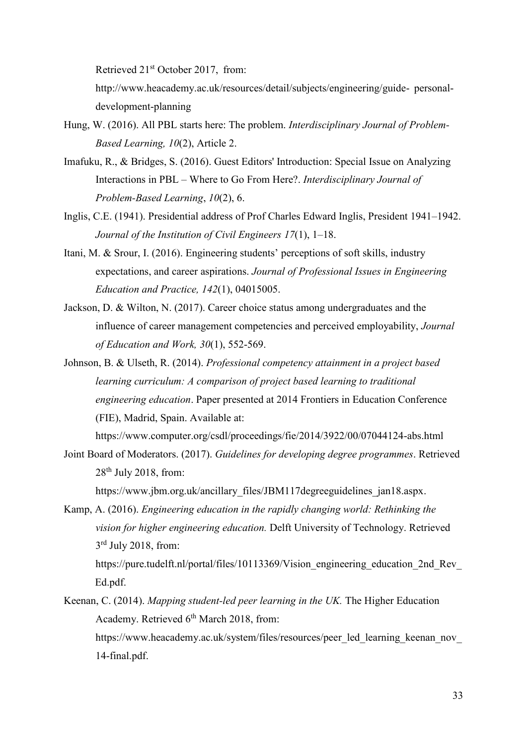Retrieved 21<sup>st</sup> October 2017, from:

[http://www.heacademy.ac.uk/resources/detail/subjects/engineering/guide-](http://www.heacademy.ac.uk/resources/detail/subjects/engineering/guide-personal-development-planning) personal[development-planning](http://www.heacademy.ac.uk/resources/detail/subjects/engineering/guide-personal-development-planning)

- Hung, W. (2016). All PBL starts here: The problem. *Interdisciplinary Journal of Problem-Based Learning, 10*(2), Article 2.
- Imafuku, R., & Bridges, S. (2016). Guest Editors' Introduction: Special Issue on Analyzing Interactions in PBL – Where to Go From Here?. *Interdisciplinary Journal of Problem-Based Learning*, *10*(2), 6.
- Inglis, C.E. (1941). Presidential address of Prof Charles Edward Inglis, President 1941–1942. *Journal of the Institution of Civil Engineers 17*(1), 1–18.
- Itani, M. & Srour, I. (2016). Engineering students' perceptions of soft skills, industry expectations, and career aspirations. *Journal of Professional Issues in Engineering Education and Practice, 142*(1), 04015005.
- Jackson, D. & Wilton, N. (2017). Career choice status among undergraduates and the influence of career management competencies and perceived employability, *Journal of Education and Work, 30*(1), 552-569.
- Johnson, B. & Ulseth, R. (2014). *Professional competency attainment in a project based learning curriculum: A comparison of project based learning to traditional engineering education*. Paper presented at 2014 Frontiers in Education Conference (FIE), Madrid, Spain. Available at:

https://www.computer.org/csdl/proceedings/fie/2014/3922/00/07044124-abs.html

Joint Board of Moderators. (2017). *Guidelines for developing degree programmes*. Retrieved  $28<sup>th</sup>$  July 2018, from:

https://www.jbm.org.uk/ancillary\_files/JBM117degreeguidelines\_jan18.aspx.

Kamp, A. (2016). *Engineering education in the rapidly changing world: Rethinking the vision for higher engineering education.* Delft University of Technology. Retrieved 3<sup>rd</sup> July 2018, from:

https://pure.tudelft.nl/portal/files/10113369/Vision\_engineering\_education\_2nd\_Rev [Ed.pdf.](https://pure.tudelft.nl/portal/files/10113369/Vision_engineering_education_2nd_Rev_Ed.pdf)

Keenan, C. (2014). *Mapping student-led peer learning in the UK.* The Higher Education Academy. Retrieved 6<sup>th</sup> March 2018, from:

https://www.heacademy.ac.uk/system/files/resources/peer\_led\_learning\_keenan\_nov 14-final.pdf.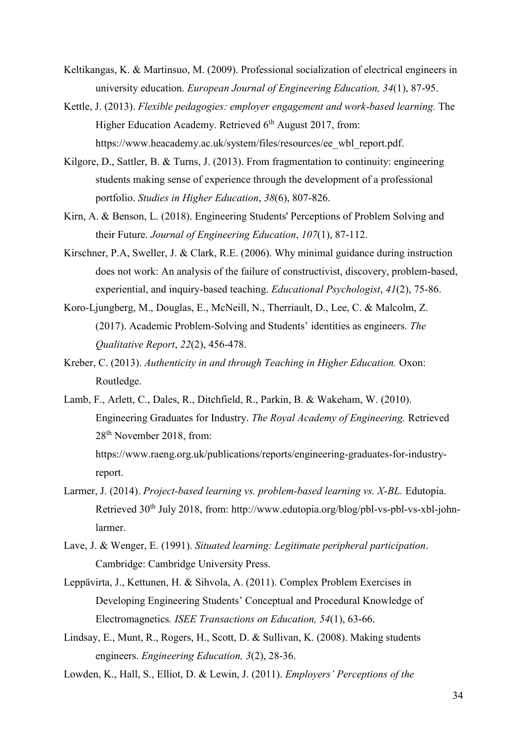- Keltikangas, K. & Martinsuo, M. (2009). Professional socialization of electrical engineers in university education. *European Journal of Engineering Education, 34*(1), 87-95.
- Kettle, J. (2013). *Flexible pedagogies: employer engagement and work-based learning.* The Higher Education Academy. Retrieved 6<sup>th</sup> August 2017, from: https://www.heacademy.ac.uk/system/files/resources/ee\_wbl\_report.pdf.
- Kilgore, D., Sattler, B. & Turns, J. (2013). From fragmentation to continuity: engineering students making sense of experience through the development of a professional portfolio. *Studies in Higher Education*, *38*(6), 807-826.
- Kirn, A. & Benson, L. (2018). Engineering Students' Perceptions of Problem Solving and their Future. *Journal of Engineering Education*, *107*(1), 87-112.
- Kirschner, P.A, Sweller, J. & Clark, R.E. (2006). Why minimal guidance during instruction does not work: An analysis of the failure of constructivist, discovery, problem-based, experiential, and inquiry-based teaching. *Educational Psychologist*, *41*(2), 75-86.
- Koro-Ljungberg, M., Douglas, E., McNeill, N., Therriault, D., Lee, C. & Malcolm, Z. (2017). Academic Problem-Solving and Students' identities as engineers. *The Qualitative Report*, *22*(2), 456-478.
- Kreber, C. (2013). *Authenticity in and through Teaching in Higher Education.* Oxon: Routledge.
- Lamb, F., Arlett, C., Dales, R., Ditchfield, R., Parkin, B. & Wakeham, W. (2010). Engineering Graduates for Industry. *The Royal Academy of Engineering.* Retrieved 28th November 2018, from: [https://www.raeng.org.uk/publications/reports/engineering-graduates-for-industry](https://www.raeng.org.uk/publications/reports/engineering-graduates-for-industry-)report.
- Larmer, J. (2014). *Project-based learning vs. problem-based learning vs. X-BL.* Edutopia. Retrieved 30<sup>th</sup> July 2018, from: http://www.edutopia.org/blog/pbl-vs-pbl-vs-xbl-johnlarmer.
- Lave, J. & Wenger, E. (1991). *Situated learning: Legitimate peripheral participation*. Cambridge: Cambridge University Press.
- Leppävirta, J., Kettunen, H. & Sihvola, A. (2011). Complex Problem Exercises in Developing Engineering Students' Conceptual and Procedural Knowledge of Electromagnetics*. ISEE Transactions on Education, 54*(1), 63-66.
- Lindsay, E., Munt, R., Rogers, H., Scott, D. & Sullivan, K. (2008). Making students engineers. *Engineering Education, 3*(2), 28-36.
- Lowden, K., Hall, S., Elliot, D. & Lewin, J. (2011). *Employers' Perceptions of the*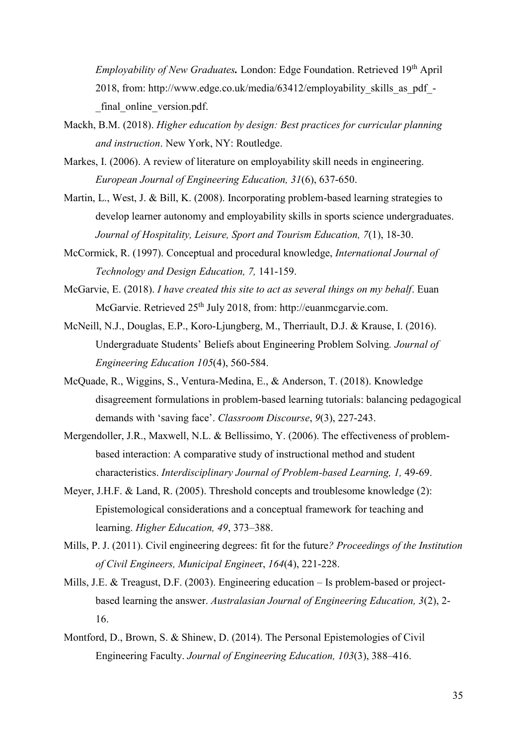*Employability of New Graduates.* London: Edge Foundation. Retrieved 19<sup>th</sup> April 2018, from: [http://www.edge.co.uk/media/63412/employability\\_skills\\_as\\_pdf\\_](http://www.edge.co.uk/media/63412/employability_skills_as_pdf_-) final online version.pdf.

- Mackh, B.M. (2018). *Higher education by design: Best practices for curricular planning and instruction*. New York, NY: Routledge.
- Markes, I. (2006). A review of literature on employability skill needs in engineering. *European Journal of Engineering Education, 31*(6), 637-650.
- Martin, L., West, J. & Bill, K. (2008). Incorporating problem-based learning strategies to develop learner autonomy and employability skills in sports science undergraduates. *Journal of Hospitality, Leisure, Sport and Tourism Education, 7*(1), 18-30.
- McCormick, R. (1997). Conceptual and procedural knowledge, *International Journal of Technology and Design Education, 7,* 141-159.
- McGarvie, E. (2018). *I have created this site to act as several things on my behalf*. Euan McGarvie. Retrieved 25<sup>th</sup> July 2018, from: [http://euanmcgarvie.com.](http://euanmcgarvie.com/)
- McNeill, N.J., Douglas, E.P., Koro-Ljungberg, M., Therriault, D.J. & Krause, I. (2016). Undergraduate Students' Beliefs about Engineering Problem Solving*. Journal of Engineering Education 105*(4), 560-584.
- McQuade, R., Wiggins, S., Ventura-Medina, E., & Anderson, T. (2018). Knowledge disagreement formulations in problem-based learning tutorials: balancing pedagogical demands with 'saving face'. *Classroom Discourse*, *9*(3), 227-243.
- Mergendoller, J.R., Maxwell, N.L. & Bellissimo, Y. (2006). The effectiveness of problembased interaction: A comparative study of instructional method and student characteristics. *Interdisciplinary Journal of Problem-based Learning, 1,* 49-69.
- Meyer, J.H.F. & Land, R. (2005). Threshold concepts and troublesome knowledge (2): Epistemological considerations and a conceptual framework for teaching and learning. *Higher Education, 49*, 373–388.
- Mills, P. J. (2011). Civil engineering degrees: fit for the future*? Proceedings of the Institution of Civil Engineers, Municipal Enginee*r, *164*(4), 221-228.
- Mills, J.E. & Treagust, D.F. (2003). Engineering education Is problem-based or projectbased learning the answer. *Australasian Journal of Engineering Education, 3*(2), 2- 16.
- Montford, D., Brown, S. & Shinew, D. (2014). The Personal Epistemologies of Civil Engineering Faculty. *Journal of Engineering Education, 103*(3), 388–416.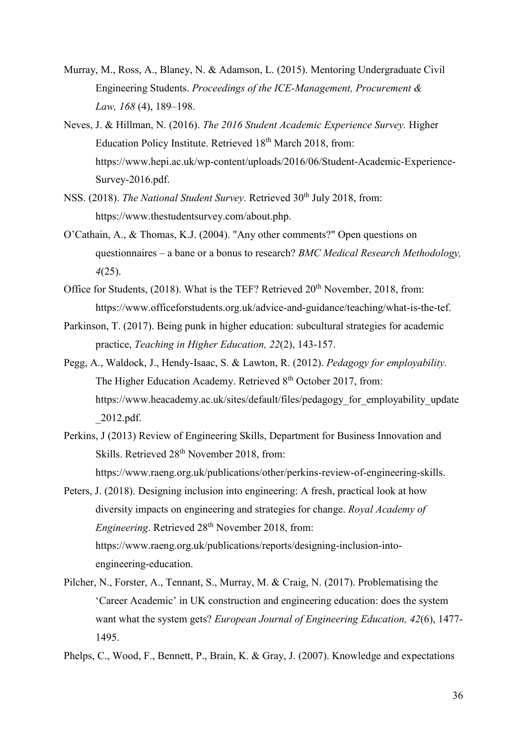- Murray, M., Ross, A., Blaney, N. & Adamson, L. (2015). Mentoring Undergraduate Civil Engineering Students. *Proceedings of the ICE-Management, Procurement & Law, 168* (4), 189–198.
- Neves, J. & Hillman, N. (2016). *The 2016 Student Academic Experience Survey.* Higher Education Policy Institute. Retrieved 18<sup>th</sup> March 2018, from: https://www.hepi.ac.uk/wp-content/uploads/2016/06/Student-Academic-Experience-Survey-2016.pdf.
- NSS. (2018). *The National Student Survey*. Retrieved 30<sup>th</sup> July 2018, from: [https://www.thestudentsurvey.com/about.php.](https://www.thestudentsurvey.com/about.php)
- O'Cathain, A., & Thomas, K.J. (2004). "Any other comments?" Open questions on questionnaires – a bane or a bonus to research? *BMC Medical Research Methodology, 4*(25).
- Office for Students,  $(2018)$ . What is the TEF? Retrieved  $20<sup>th</sup>$  November, 2018, from: https://www.officeforstudents.org.uk/advice-and-guidance/teaching/what-is-the-tef.
- Parkinson, T. (2017). Being punk in higher education: subcultural strategies for academic practice, *Teaching in Higher Education, 22*(2), 143-157.
- Pegg, A., Waldock, J., Hendy-Isaac, S. & Lawton, R. (2012). *Pedagogy for employability.*  The Higher Education Academy. Retrieved 8<sup>th</sup> October 2017, from: [https://www.heacademy.ac.uk/sites/default/files/pedagogy\\_for\\_employability\\_update](https://www.heacademy.ac.uk/sites/default/files/pedagogy_for_employability_update_2012.pdf) [\\_2012.pdf.](https://www.heacademy.ac.uk/sites/default/files/pedagogy_for_employability_update_2012.pdf)
- Perkins, J (2013) Review of Engineering Skills, Department for Business Innovation and Skills. Retrieved  $28<sup>th</sup>$  November 2018, from: [https://www.raeng.org.uk/publications/other/perkins-review-of-engineering-skills.](https://www.raeng.org.uk/publications/other/perkins-review-of-engineering-skills)
- Peters, J. (2018). Designing inclusion into engineering: A fresh, practical look at how diversity impacts on engineering and strategies for change. *Royal Academy of Engineering*. Retrieved 28<sup>th</sup> November 2018, from: [https://www.raeng.org.uk/publications/reports/designing-inclusion-into](https://www.raeng.org.uk/publications/reports/designing-inclusion-into-%09engineering-education)[engineering-education.](https://www.raeng.org.uk/publications/reports/designing-inclusion-into-%09engineering-education)
- Pilcher, N., Forster, A., Tennant, S., Murray, M. & Craig, N. (2017). Problematising the 'Career Academic' in UK construction and engineering education: does the system want what the system gets? *European Journal of Engineering Education, 42*(6), 1477- 1495.
- Phelps, C., Wood, F., Bennett, P., Brain, K. & Gray, J. (2007). Knowledge and expectations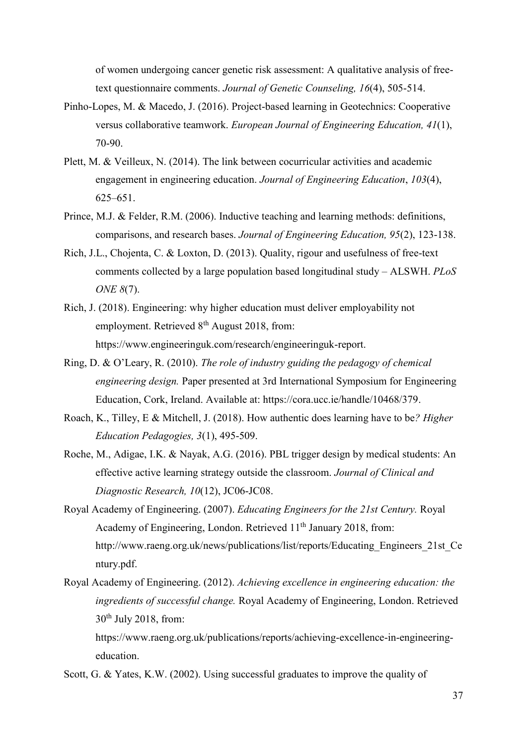of women undergoing cancer genetic risk assessment: A qualitative analysis of freetext questionnaire comments. *Journal of Genetic Counseling, 16*(4), 505-514.

- Pinho-Lopes, M. & Macedo, J. (2016). Project-based learning in Geotechnics: Cooperative versus collaborative teamwork. *European Journal of Engineering Education, 41*(1), 70-90.
- Plett, M. & Veilleux, N. (2014). The link between cocurricular activities and academic engagement in engineering education. *Journal of Engineering Education*, *103*(4), 625–651.
- Prince, M.J. & Felder, R.M. (2006). Inductive teaching and learning methods: definitions, comparisons, and research bases. *Journal of Engineering Education, 95*(2), 123-138.
- Rich, J.L., Chojenta, C. & Loxton, D. (2013). Quality, rigour and usefulness of free-text comments collected by a large population based longitudinal study – ALSWH. *PLoS ONE 8*(7).
- Rich, J. (2018). Engineering: why higher education must deliver employability not employment. Retrieved  $8<sup>th</sup>$  August 2018, from: [https://www.engineeringuk.com/research/engineeringuk-report.](https://www.engineeringuk.com/research/engineeringuk-report/)
- Ring, D. & O'Leary, R. (2010). *The role of industry guiding the pedagogy of chemical engineering design.* Paper presented at 3rd International Symposium for Engineering Education, Cork, Ireland. Available at: https://cora.ucc.ie/handle/10468/379.
- Roach, K., Tilley, E & Mitchell, J. (2018). How authentic does learning have to be*? Higher Education Pedagogies, 3*(1), 495-509.
- Roche, M., Adigae, I.K. & Nayak, A.G. (2016). PBL trigger design by medical students: An effective active learning strategy outside the classroom. *Journal of Clinical and Diagnostic Research, 10*(12), JC06-JC08.
- Royal Academy of Engineering. (2007). *Educating Engineers for the 21st Century.* Royal Academy of Engineering, London. Retrieved 11<sup>th</sup> January 2018, from: [http://www.raeng.org.uk/news/publications/list/reports/Educating\\_Engineers\\_21st\\_Ce](http://www.raeng.org.uk/news/publications/list/reports/Educating_Engineers_21st_Century.pdf) [ntury.pdf.](http://www.raeng.org.uk/news/publications/list/reports/Educating_Engineers_21st_Century.pdf)
- Royal Academy of Engineering. (2012). *Achieving excellence in engineering education: the ingredients of successful change.* Royal Academy of Engineering, London. Retrieved  $30<sup>th</sup>$  July 2018, from:

https://www.raeng.org.uk/publications/reports/achieving-excellence-in-engineeringeducation.

Scott, G. & Yates, K.W. (2002). Using successful graduates to improve the quality of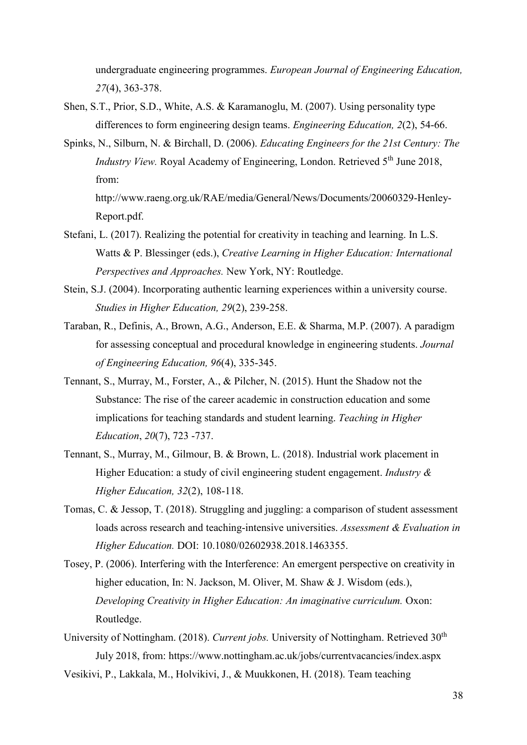undergraduate engineering programmes. *European Journal of Engineering Education, 27*(4), 363-378.

- Shen, S.T., Prior, S.D., White, A.S. & Karamanoglu, M. (2007). Using personality type differences to form engineering design teams. *Engineering Education, 2*(2), 54-66.
- Spinks, N., Silburn, N. & Birchall, D. (2006). *Educating Engineers for the 21st Century: The Industry View.* Royal Academy of Engineering, London. Retrieved 5<sup>th</sup> June 2018, from:

[http://www.raeng.org.uk/RAE/media/General/News/Documents/20060329-Henley-](http://www.raeng.org.uk/RAE/media/General/News/Documents/20060329-Henley-Report.pdf)[Report.pdf.](http://www.raeng.org.uk/RAE/media/General/News/Documents/20060329-Henley-Report.pdf)

- Stefani, L. (2017). Realizing the potential for creativity in teaching and learning. In L.S. Watts & P. Blessinger (eds.), *Creative Learning in Higher Education: International Perspectives and Approaches.* New York, NY: Routledge.
- Stein, S.J. (2004). Incorporating authentic learning experiences within a university course. *Studies in Higher Education, 29*(2), 239-258.
- Taraban, R., Definis, A., Brown, A.G., Anderson, E.E. & Sharma, M.P. (2007). A paradigm for assessing conceptual and procedural knowledge in engineering students. *Journal of Engineering Education, 96*(4), 335-345.
- Tennant, S., Murray, M., Forster, A., & Pilcher, N. (2015). Hunt the Shadow not the Substance: The rise of the career academic in construction education and some implications for teaching standards and student learning. *Teaching in Higher Education*, *20*(7), 723 -737.
- Tennant, S., Murray, M., Gilmour, B. & Brown, L. (2018). Industrial work placement in Higher Education: a study of civil engineering student engagement. *Industry & Higher Education, 32*(2), 108-118.
- Tomas, C. & Jessop, T. (2018). Struggling and juggling: a comparison of student assessment loads across research and teaching-intensive universities. *Assessment & Evaluation in Higher Education.* DOI: 10.1080/02602938.2018.1463355.
- Tosey, P. (2006). Interfering with the Interference: An emergent perspective on creativity in higher education, In: N. Jackson, M. Oliver, M. Shaw & J. Wisdom (eds.), *Developing Creativity in Higher Education: An imaginative curriculum.* Oxon: Routledge.
- University of Nottingham. (2018). *Current jobs*. University of Nottingham. Retrieved 30<sup>th</sup> July 2018, from:<https://www.nottingham.ac.uk/jobs/currentvacancies/index.aspx>
- Vesikivi, P., Lakkala, M., Holvikivi, J., & Muukkonen, H. (2018). Team teaching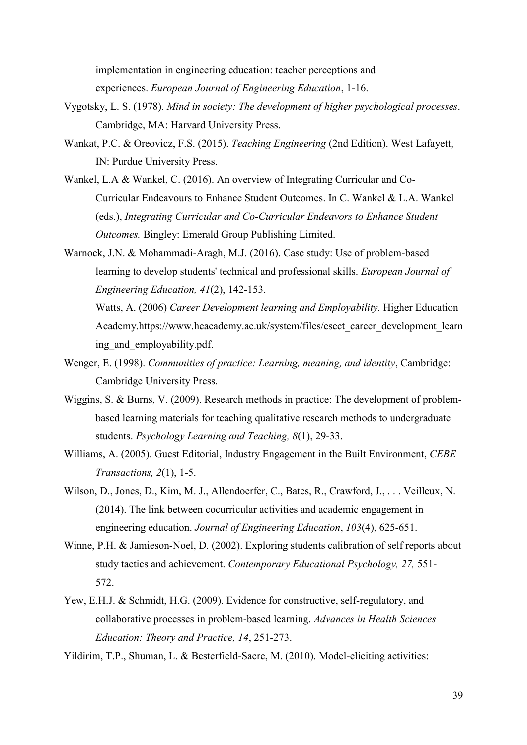implementation in engineering education: teacher perceptions and experiences. *European Journal of Engineering Education*, 1-16.

- Vygotsky, L. S. (1978). *Mind in society: The development of higher psychological processes*. Cambridge, MA: Harvard University Press.
- Wankat, P.C. & Oreovicz, F.S. (2015). *Teaching Engineering* (2nd Edition). West Lafayett, IN: Purdue University Press.
- Wankel, L.A & Wankel, C. (2016). An overview of Integrating Curricular and Co-Curricular Endeavours to Enhance Student Outcomes. In C. Wankel & L.A. Wankel (eds.), *Integrating Curricular and Co-Curricular Endeavors to Enhance Student Outcomes.* Bingley: Emerald Group Publishing Limited.
- Warnock, J.N. & Mohammadi-Aragh, M.J. (2016). Case study: Use of problem-based learning to develop students' technical and professional skills. *European Journal of Engineering Education, 41*(2), 142-153.

Watts, A. (2006) *Career Development learning and Employability.* Higher Education Academy.https://www.heacademy.ac.uk/system/files/esect\_career\_development\_learn ing and employability.pdf.

- Wenger, E. (1998). *Communities of practice: Learning, meaning, and identity*, Cambridge: Cambridge University Press.
- Wiggins, S. & Burns, V. (2009). Research methods in practice: The development of problembased learning materials for teaching qualitative research methods to undergraduate students. *Psychology Learning and Teaching, 8*(1), 29-33.
- Williams, A. (2005). Guest Editorial, Industry Engagement in the Built Environment, *CEBE Transactions, 2*(1), 1-5.
- Wilson, D., Jones, D., Kim, M. J., Allendoerfer, C., Bates, R., Crawford, J., . . . Veilleux, N. (2014). The link between cocurricular activities and academic engagement in engineering education. *Journal of Engineering Education*, *103*(4), 625-651.
- Winne, P.H. & Jamieson-Noel, D. (2002). Exploring students calibration of self reports about study tactics and achievement. *Contemporary Educational Psychology, 27,* 551- 572.
- Yew, E.H.J. & Schmidt, H.G. (2009). Evidence for constructive, self-regulatory, and collaborative processes in problem-based learning. *Advances in Health Sciences Education: Theory and Practice, 14*, 251-273.

Yildirim, T.P., Shuman, L. & Besterfield-Sacre, M. (2010). Model-eliciting activities: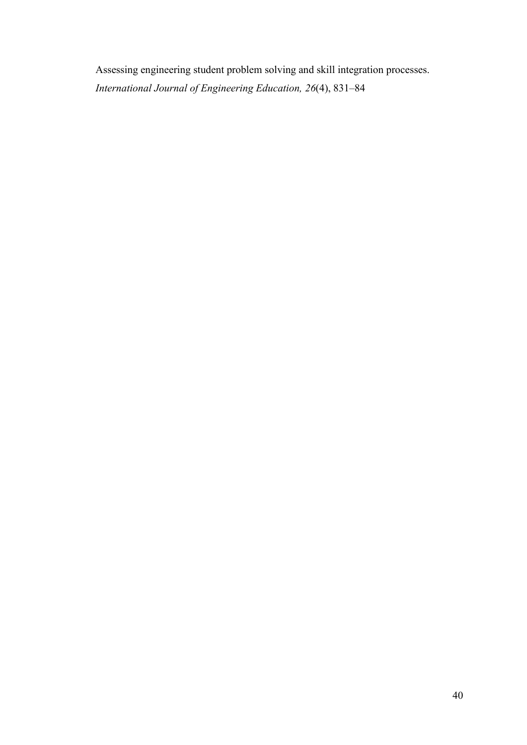Assessing engineering student problem solving and skill integration processes. *International Journal of Engineering Education, 26*(4), 831–84